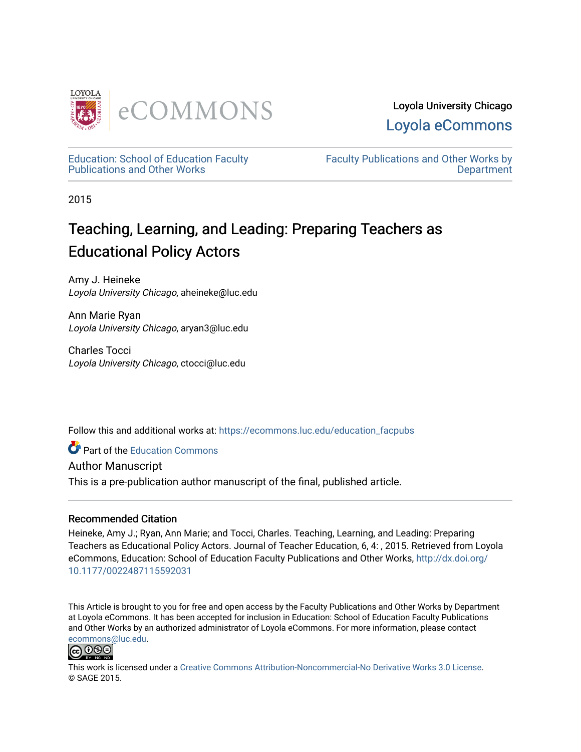

[Education: School of Education Faculty](https://ecommons.luc.edu/education_facpubs)  [Publications and Other Works](https://ecommons.luc.edu/education_facpubs) 

[Faculty Publications and Other Works by](https://ecommons.luc.edu/faculty)  **Department** 

2015

# Teaching, Learning, and Leading: Preparing Teachers as Educational Policy Actors

Amy J. Heineke Loyola University Chicago, aheineke@luc.edu

Ann Marie Ryan Loyola University Chicago, aryan3@luc.edu

Charles Tocci Loyola University Chicago, ctocci@luc.edu

Follow this and additional works at: [https://ecommons.luc.edu/education\\_facpubs](https://ecommons.luc.edu/education_facpubs?utm_source=ecommons.luc.edu%2Feducation_facpubs%2F48&utm_medium=PDF&utm_campaign=PDFCoverPages) 

**Part of the [Education Commons](http://network.bepress.com/hgg/discipline/784?utm_source=ecommons.luc.edu%2Feducation_facpubs%2F48&utm_medium=PDF&utm_campaign=PDFCoverPages)** 

Author Manuscript

This is a pre-publication author manuscript of the final, published article.

# Recommended Citation

Heineke, Amy J.; Ryan, Ann Marie; and Tocci, Charles. Teaching, Learning, and Leading: Preparing Teachers as Educational Policy Actors. Journal of Teacher Education, 6, 4: , 2015. Retrieved from Loyola eCommons, Education: School of Education Faculty Publications and Other Works, [http://dx.doi.org/](http://dx.doi.org/10.1177/0022487115592031) [10.1177/0022487115592031](http://dx.doi.org/10.1177/0022487115592031)

This Article is brought to you for free and open access by the Faculty Publications and Other Works by Department at Loyola eCommons. It has been accepted for inclusion in Education: School of Education Faculty Publications and Other Works by an authorized administrator of Loyola eCommons. For more information, please contact [ecommons@luc.edu](mailto:ecommons@luc.edu).



This work is licensed under a [Creative Commons Attribution-Noncommercial-No Derivative Works 3.0 License.](https://creativecommons.org/licenses/by-nc-nd/3.0/) © SAGE 2015.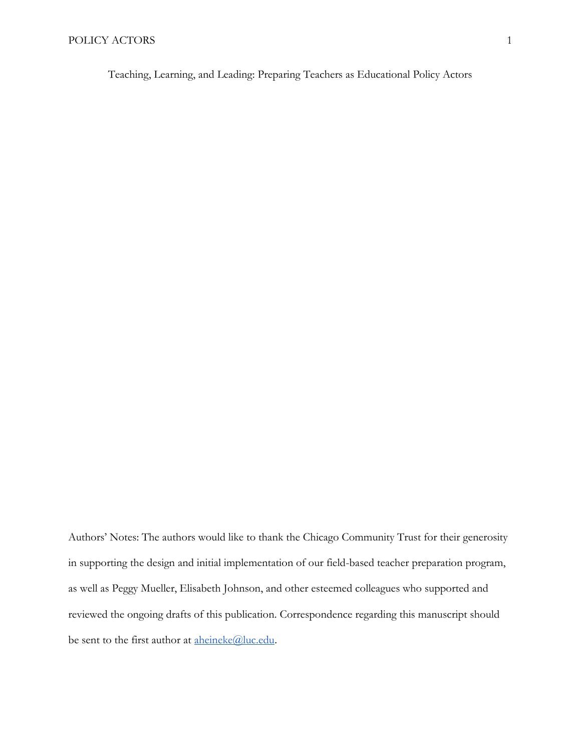Teaching, Learning, and Leading: Preparing Teachers as Educational Policy Actors

Authors' Notes: The authors would like to thank the Chicago Community Trust for their generosity in supporting the design and initial implementation of our field-based teacher preparation program, as well as Peggy Mueller, Elisabeth Johnson, and other esteemed colleagues who supported and reviewed the ongoing drafts of this publication. Correspondence regarding this manuscript should be sent to the first author at [aheineke@luc.edu.](mailto:aheineke@luc.edu)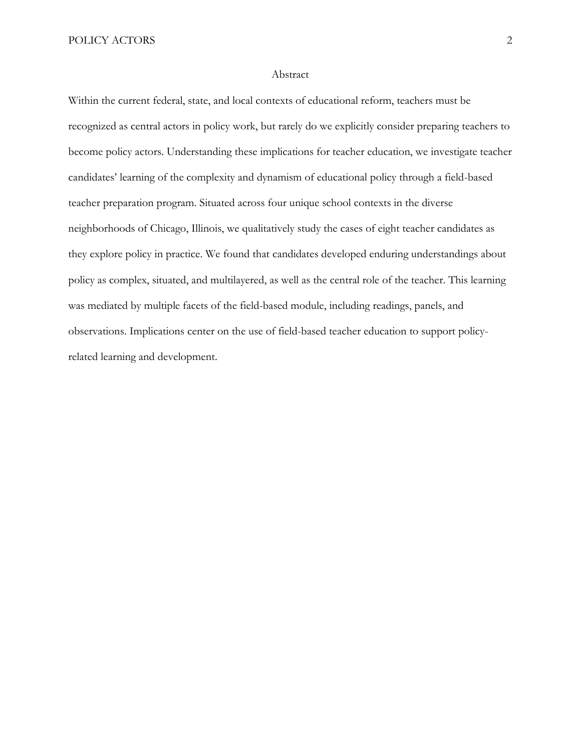#### Abstract

Within the current federal, state, and local contexts of educational reform, teachers must be recognized as central actors in policy work, but rarely do we explicitly consider preparing teachers to become policy actors. Understanding these implications for teacher education, we investigate teacher candidates' learning of the complexity and dynamism of educational policy through a field-based teacher preparation program. Situated across four unique school contexts in the diverse neighborhoods of Chicago, Illinois, we qualitatively study the cases of eight teacher candidates as they explore policy in practice. We found that candidates developed enduring understandings about policy as complex, situated, and multilayered, as well as the central role of the teacher. This learning was mediated by multiple facets of the field-based module, including readings, panels, and observations. Implications center on the use of field-based teacher education to support policyrelated learning and development.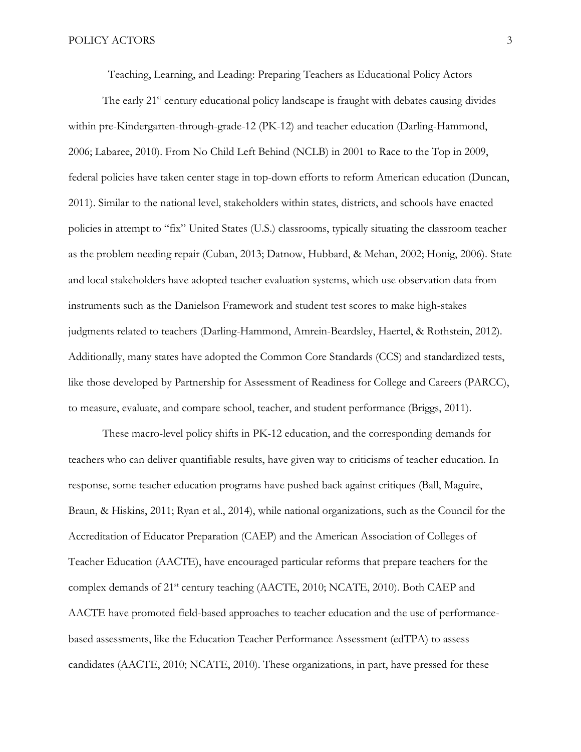Teaching, Learning, and Leading: Preparing Teachers as Educational Policy Actors

The early  $21<sup>st</sup>$  century educational policy landscape is fraught with debates causing divides within pre-Kindergarten-through-grade-12 (PK-12) and teacher education (Darling-Hammond, 2006; Labaree, 2010). From No Child Left Behind (NCLB) in 2001 to Race to the Top in 2009, federal policies have taken center stage in top-down efforts to reform American education (Duncan, 2011). Similar to the national level, stakeholders within states, districts, and schools have enacted policies in attempt to "fix" United States (U.S.) classrooms, typically situating the classroom teacher as the problem needing repair (Cuban, 2013; Datnow, Hubbard, & Mehan, 2002; Honig, 2006). State and local stakeholders have adopted teacher evaluation systems, which use observation data from instruments such as the Danielson Framework and student test scores to make high-stakes judgments related to teachers (Darling-Hammond, Amrein-Beardsley, Haertel, & Rothstein, 2012). Additionally, many states have adopted the Common Core Standards (CCS) and standardized tests, like those developed by Partnership for Assessment of Readiness for College and Careers (PARCC), to measure, evaluate, and compare school, teacher, and student performance (Briggs, 2011).

These macro-level policy shifts in PK-12 education, and the corresponding demands for teachers who can deliver quantifiable results, have given way to criticisms of teacher education. In response, some teacher education programs have pushed back against critiques (Ball, Maguire, Braun, & Hiskins, 2011; Ryan et al., 2014), while national organizations, such as the Council for the Accreditation of Educator Preparation (CAEP) and the American Association of Colleges of Teacher Education (AACTE), have encouraged particular reforms that prepare teachers for the complex demands of 21<sup>st</sup> century teaching (AACTE, 2010; NCATE, 2010). Both CAEP and AACTE have promoted field-based approaches to teacher education and the use of performancebased assessments, like the Education Teacher Performance Assessment (edTPA) to assess candidates (AACTE, 2010; NCATE, 2010). These organizations, in part, have pressed for these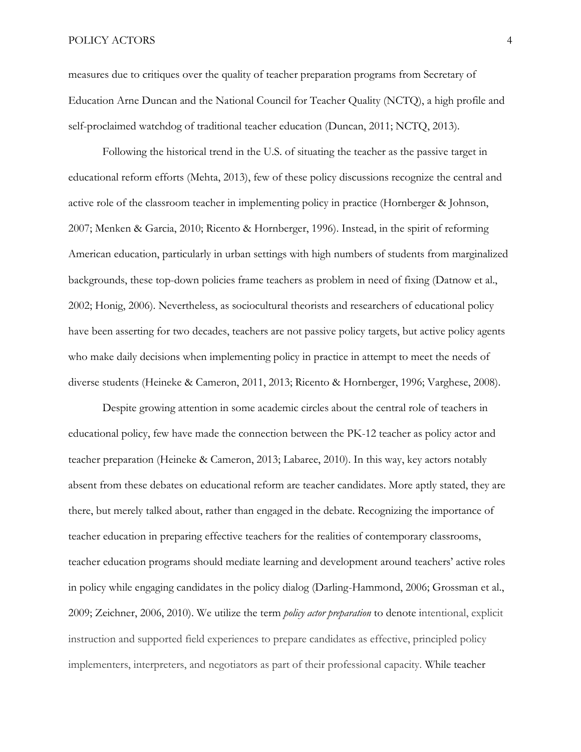measures due to critiques over the quality of teacher preparation programs from Secretary of Education Arne Duncan and the National Council for Teacher Quality (NCTQ), a high profile and self-proclaimed watchdog of traditional teacher education (Duncan, 2011; NCTQ, 2013).

Following the historical trend in the U.S. of situating the teacher as the passive target in educational reform efforts (Mehta, 2013), few of these policy discussions recognize the central and active role of the classroom teacher in implementing policy in practice (Hornberger & Johnson, 2007; Menken & Garcia, 2010; Ricento & Hornberger, 1996). Instead, in the spirit of reforming American education, particularly in urban settings with high numbers of students from marginalized backgrounds, these top-down policies frame teachers as problem in need of fixing (Datnow et al., 2002; Honig, 2006). Nevertheless, as sociocultural theorists and researchers of educational policy have been asserting for two decades, teachers are not passive policy targets, but active policy agents who make daily decisions when implementing policy in practice in attempt to meet the needs of diverse students (Heineke & Cameron, 2011, 2013; Ricento & Hornberger, 1996; Varghese, 2008).

Despite growing attention in some academic circles about the central role of teachers in educational policy, few have made the connection between the PK-12 teacher as policy actor and teacher preparation (Heineke & Cameron, 2013; Labaree, 2010). In this way, key actors notably absent from these debates on educational reform are teacher candidates. More aptly stated, they are there, but merely talked about, rather than engaged in the debate. Recognizing the importance of teacher education in preparing effective teachers for the realities of contemporary classrooms, teacher education programs should mediate learning and development around teachers' active roles in policy while engaging candidates in the policy dialog (Darling-Hammond, 2006; Grossman et al., 2009; Zeichner, 2006, 2010). We utilize the term *policy actor preparation* to denote intentional, explicit instruction and supported field experiences to prepare candidates as effective, principled policy implementers, interpreters, and negotiators as part of their professional capacity. While teacher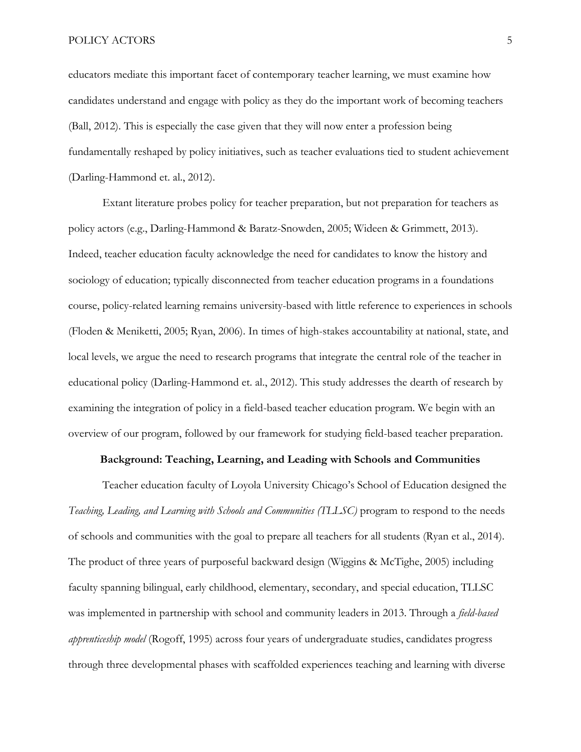educators mediate this important facet of contemporary teacher learning, we must examine how candidates understand and engage with policy as they do the important work of becoming teachers (Ball, 2012). This is especially the case given that they will now enter a profession being fundamentally reshaped by policy initiatives, such as teacher evaluations tied to student achievement (Darling-Hammond et. al., 2012).

Extant literature probes policy for teacher preparation, but not preparation for teachers as policy actors (e.g., Darling-Hammond & Baratz-Snowden, 2005; Wideen & Grimmett, 2013). Indeed, teacher education faculty acknowledge the need for candidates to know the history and sociology of education; typically disconnected from teacher education programs in a foundations course, policy-related learning remains university-based with little reference to experiences in schools (Floden & Meniketti, 2005; Ryan, 2006). In times of high-stakes accountability at national, state, and local levels, we argue the need to research programs that integrate the central role of the teacher in educational policy (Darling-Hammond et. al., 2012). This study addresses the dearth of research by examining the integration of policy in a field-based teacher education program. We begin with an overview of our program, followed by our framework for studying field-based teacher preparation.

# **Background: Teaching, Learning, and Leading with Schools and Communities**

Teacher education faculty of Loyola University Chicago's School of Education designed the *Teaching, Leading, and Learning with Schools and Communities (TLLSC)* program to respond to the needs of schools and communities with the goal to prepare all teachers for all students (Ryan et al., 2014). The product of three years of purposeful backward design (Wiggins & McTighe, 2005) including faculty spanning bilingual, early childhood, elementary, secondary, and special education, TLLSC was implemented in partnership with school and community leaders in 2013. Through a *field-based apprenticeship model* (Rogoff, 1995) across four years of undergraduate studies, candidates progress through three developmental phases with scaffolded experiences teaching and learning with diverse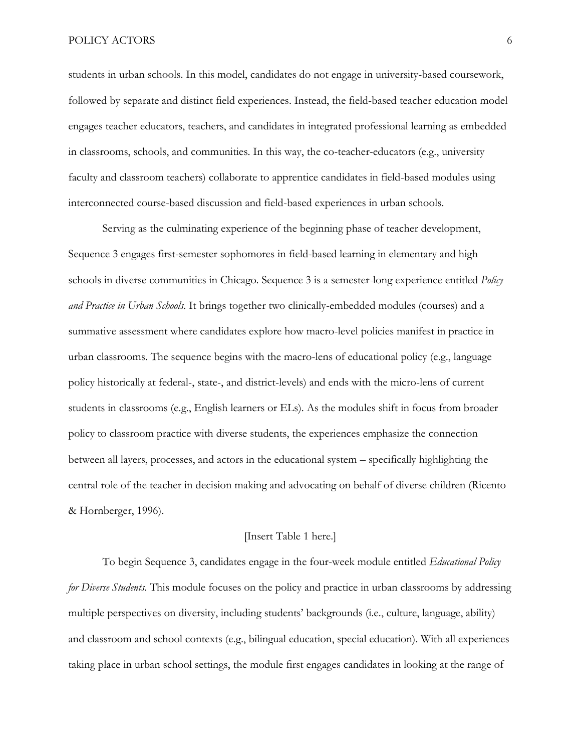students in urban schools. In this model, candidates do not engage in university-based coursework, followed by separate and distinct field experiences. Instead, the field-based teacher education model engages teacher educators, teachers, and candidates in integrated professional learning as embedded in classrooms, schools, and communities. In this way, the co-teacher-educators (e.g., university faculty and classroom teachers) collaborate to apprentice candidates in field-based modules using interconnected course-based discussion and field-based experiences in urban schools.

 Serving as the culminating experience of the beginning phase of teacher development, Sequence 3 engages first-semester sophomores in field-based learning in elementary and high schools in diverse communities in Chicago. Sequence 3 is a semester-long experience entitled *Policy and Practice in Urban Schools*. It brings together two clinically-embedded modules (courses) and a summative assessment where candidates explore how macro-level policies manifest in practice in urban classrooms. The sequence begins with the macro-lens of educational policy (e.g., language policy historically at federal-, state-, and district-levels) and ends with the micro-lens of current students in classrooms (e.g., English learners or ELs). As the modules shift in focus from broader policy to classroom practice with diverse students, the experiences emphasize the connection between all layers, processes, and actors in the educational system – specifically highlighting the central role of the teacher in decision making and advocating on behalf of diverse children (Ricento & Hornberger, 1996).

#### [Insert Table 1 here.]

To begin Sequence 3, candidates engage in the four-week module entitled *Educational Policy for Diverse Students*. This module focuses on the policy and practice in urban classrooms by addressing multiple perspectives on diversity, including students' backgrounds (i.e., culture, language, ability) and classroom and school contexts (e.g., bilingual education, special education). With all experiences taking place in urban school settings, the module first engages candidates in looking at the range of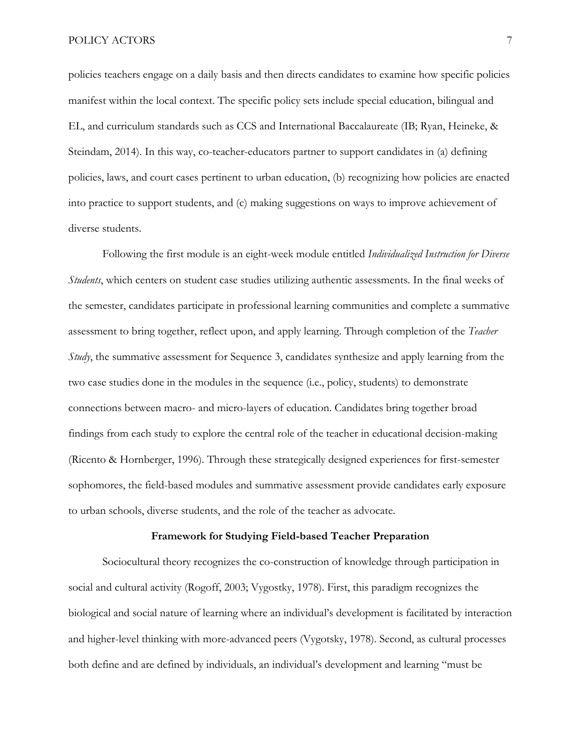policies teachers engage on a daily basis and then directs candidates to examine how specific policies manifest within the local context. The specific policy sets include special education, bilingual and EL, and curriculum standards such as CCS and International Baccalaureate (IB; Ryan, Heineke, & Steindam, 2014). In this way, co-teacher-educators partner to support candidates in (a) defining policies, laws, and court cases pertinent to urban education, (b) recognizing how policies are enacted into practice to support students, and (c) making suggestions on ways to improve achievement of diverse students.

 Following the first module is an eight-week module entitled *Individualized Instruction for Diverse Students*, which centers on student case studies utilizing authentic assessments. In the final weeks of the semester, candidates participate in professional learning communities and complete a summative assessment to bring together, reflect upon, and apply learning. Through completion of the *Teacher Study*, the summative assessment for Sequence 3, candidates synthesize and apply learning from the two case studies done in the modules in the sequence (i.e., policy, students) to demonstrate connections between macro- and micro-layers of education. Candidates bring together broad findings from each study to explore the central role of the teacher in educational decision-making (Ricento & Hornberger, 1996). Through these strategically designed experiences for first-semester sophomores, the field-based modules and summative assessment provide candidates early exposure to urban schools, diverse students, and the role of the teacher as advocate.

#### **Framework for Studying Field-based Teacher Preparation**

Sociocultural theory recognizes the co-construction of knowledge through participation in social and cultural activity (Rogoff, 2003; Vygostky, 1978). First, this paradigm recognizes the biological and social nature of learning where an individual's development is facilitated by interaction and higher-level thinking with more-advanced peers (Vygotsky, 1978). Second, as cultural processes both define and are defined by individuals, an individual's development and learning "must be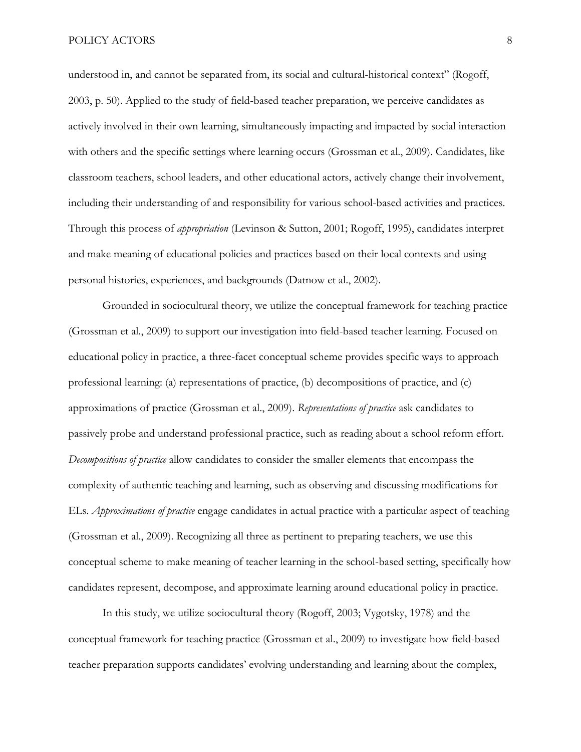understood in, and cannot be separated from, its social and cultural-historical context" (Rogoff, 2003, p. 50). Applied to the study of field-based teacher preparation, we perceive candidates as actively involved in their own learning, simultaneously impacting and impacted by social interaction with others and the specific settings where learning occurs (Grossman et al., 2009). Candidates, like classroom teachers, school leaders, and other educational actors, actively change their involvement, including their understanding of and responsibility for various school-based activities and practices. Through this process of *appropriation* (Levinson & Sutton, 2001; Rogoff, 1995), candidates interpret and make meaning of educational policies and practices based on their local contexts and using personal histories, experiences, and backgrounds (Datnow et al., 2002).

Grounded in sociocultural theory, we utilize the conceptual framework for teaching practice (Grossman et al., 2009) to support our investigation into field-based teacher learning. Focused on educational policy in practice, a three-facet conceptual scheme provides specific ways to approach professional learning: (a) representations of practice, (b) decompositions of practice, and (c) approximations of practice (Grossman et al., 2009). *Representations of practice* ask candidates to passively probe and understand professional practice, such as reading about a school reform effort. *Decompositions of practice* allow candidates to consider the smaller elements that encompass the complexity of authentic teaching and learning, such as observing and discussing modifications for ELs. *Approximations of practice* engage candidates in actual practice with a particular aspect of teaching (Grossman et al., 2009). Recognizing all three as pertinent to preparing teachers, we use this conceptual scheme to make meaning of teacher learning in the school-based setting, specifically how candidates represent, decompose, and approximate learning around educational policy in practice.

In this study, we utilize sociocultural theory (Rogoff, 2003; Vygotsky, 1978) and the conceptual framework for teaching practice (Grossman et al., 2009) to investigate how field-based teacher preparation supports candidates' evolving understanding and learning about the complex,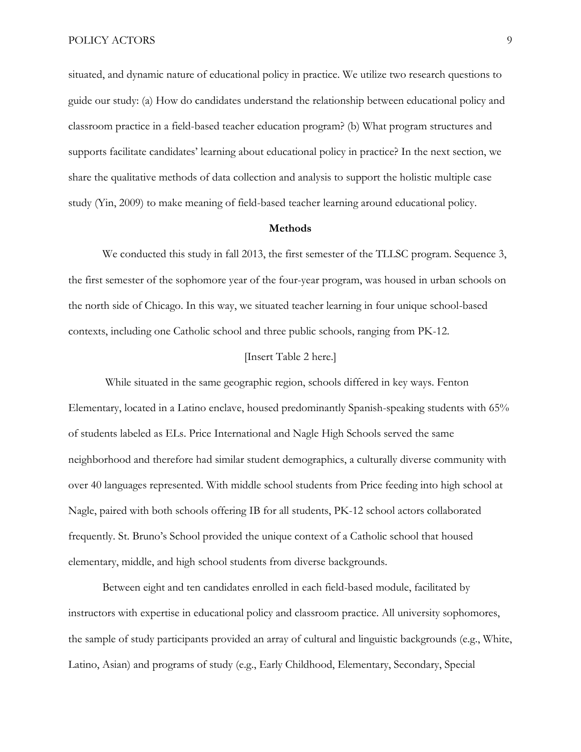situated, and dynamic nature of educational policy in practice. We utilize two research questions to guide our study: (a) How do candidates understand the relationship between educational policy and classroom practice in a field-based teacher education program? (b) What program structures and supports facilitate candidates' learning about educational policy in practice? In the next section, we share the qualitative methods of data collection and analysis to support the holistic multiple case study (Yin, 2009) to make meaning of field-based teacher learning around educational policy.

#### **Methods**

We conducted this study in fall 2013, the first semester of the TLLSC program. Sequence 3, the first semester of the sophomore year of the four-year program, was housed in urban schools on the north side of Chicago. In this way, we situated teacher learning in four unique school-based contexts, including one Catholic school and three public schools, ranging from PK-12.

## [Insert Table 2 here.]

 While situated in the same geographic region, schools differed in key ways. Fenton Elementary, located in a Latino enclave, housed predominantly Spanish-speaking students with 65% of students labeled as ELs. Price International and Nagle High Schools served the same neighborhood and therefore had similar student demographics, a culturally diverse community with over 40 languages represented. With middle school students from Price feeding into high school at Nagle, paired with both schools offering IB for all students, PK-12 school actors collaborated frequently. St. Bruno's School provided the unique context of a Catholic school that housed elementary, middle, and high school students from diverse backgrounds.

Between eight and ten candidates enrolled in each field-based module, facilitated by instructors with expertise in educational policy and classroom practice. All university sophomores, the sample of study participants provided an array of cultural and linguistic backgrounds (e.g., White, Latino, Asian) and programs of study (e.g., Early Childhood, Elementary, Secondary, Special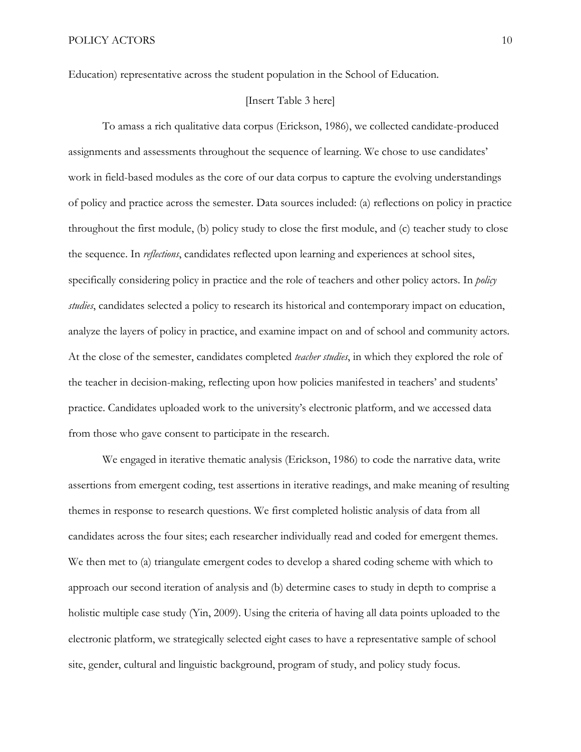Education) representative across the student population in the School of Education.

## [Insert Table 3 here]

 To amass a rich qualitative data corpus (Erickson, 1986), we collected candidate-produced assignments and assessments throughout the sequence of learning. We chose to use candidates' work in field-based modules as the core of our data corpus to capture the evolving understandings of policy and practice across the semester. Data sources included: (a) reflections on policy in practice throughout the first module, (b) policy study to close the first module, and (c) teacher study to close the sequence. In *reflections*, candidates reflected upon learning and experiences at school sites, specifically considering policy in practice and the role of teachers and other policy actors. In *policy studies*, candidates selected a policy to research its historical and contemporary impact on education, analyze the layers of policy in practice, and examine impact on and of school and community actors. At the close of the semester, candidates completed *teacher studies*, in which they explored the role of the teacher in decision-making, reflecting upon how policies manifested in teachers' and students' practice. Candidates uploaded work to the university's electronic platform, and we accessed data from those who gave consent to participate in the research.

 We engaged in iterative thematic analysis (Erickson, 1986) to code the narrative data, write assertions from emergent coding, test assertions in iterative readings, and make meaning of resulting themes in response to research questions. We first completed holistic analysis of data from all candidates across the four sites; each researcher individually read and coded for emergent themes. We then met to (a) triangulate emergent codes to develop a shared coding scheme with which to approach our second iteration of analysis and (b) determine cases to study in depth to comprise a holistic multiple case study (Yin, 2009). Using the criteria of having all data points uploaded to the electronic platform, we strategically selected eight cases to have a representative sample of school site, gender, cultural and linguistic background, program of study, and policy study focus.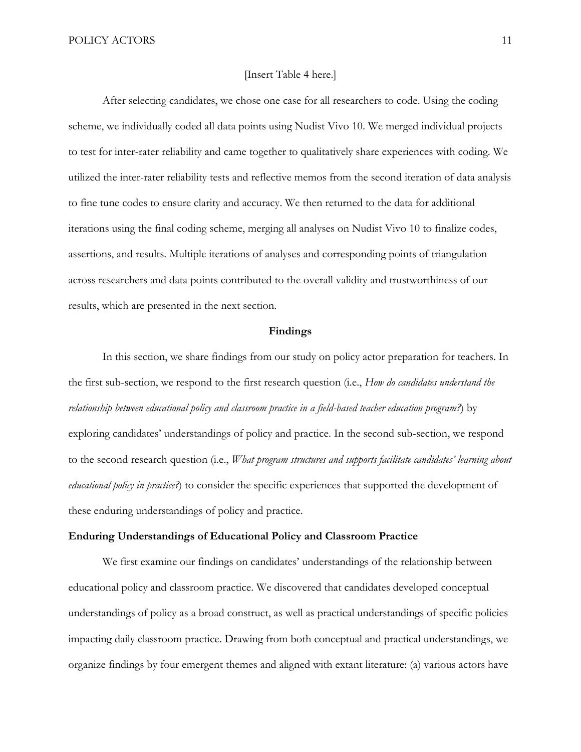#### [Insert Table 4 here.]

After selecting candidates, we chose one case for all researchers to code. Using the coding scheme, we individually coded all data points using Nudist Vivo 10. We merged individual projects to test for inter-rater reliability and came together to qualitatively share experiences with coding. We utilized the inter-rater reliability tests and reflective memos from the second iteration of data analysis to fine tune codes to ensure clarity and accuracy. We then returned to the data for additional iterations using the final coding scheme, merging all analyses on Nudist Vivo 10 to finalize codes, assertions, and results. Multiple iterations of analyses and corresponding points of triangulation across researchers and data points contributed to the overall validity and trustworthiness of our results, which are presented in the next section.

#### **Findings**

In this section, we share findings from our study on policy actor preparation for teachers. In the first sub-section, we respond to the first research question (i.e., *How do candidates understand the relationship between educational policy and classroom practice in a field-based teacher education program?*) by exploring candidates' understandings of policy and practice. In the second sub-section, we respond to the second research question (i.e., *What program structures and supports facilitate candidates' learning about educational policy in practice?*) to consider the specific experiences that supported the development of these enduring understandings of policy and practice.

#### **Enduring Understandings of Educational Policy and Classroom Practice**

We first examine our findings on candidates' understandings of the relationship between educational policy and classroom practice. We discovered that candidates developed conceptual understandings of policy as a broad construct, as well as practical understandings of specific policies impacting daily classroom practice. Drawing from both conceptual and practical understandings, we organize findings by four emergent themes and aligned with extant literature: (a) various actors have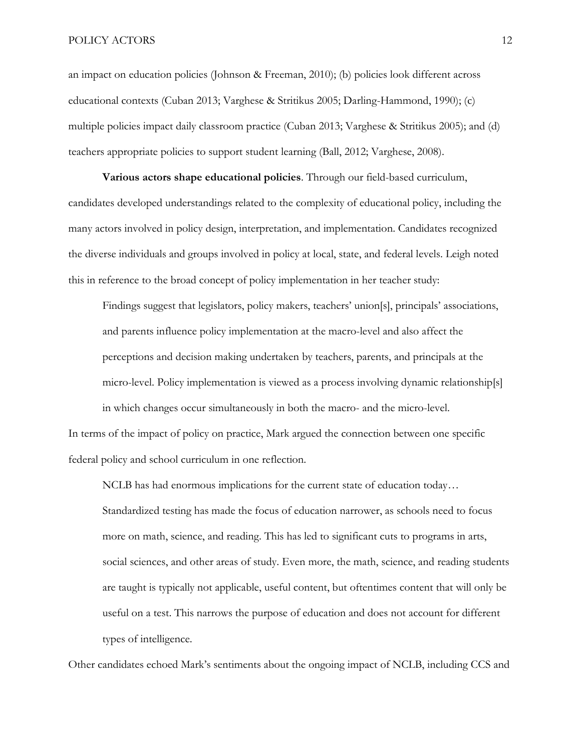#### POLICY ACTORS 22

an impact on education policies (Johnson & Freeman, 2010); (b) policies look different across educational contexts (Cuban 2013; Varghese & Stritikus 2005; Darling-Hammond, 1990); (c) multiple policies impact daily classroom practice (Cuban 2013; Varghese & Stritikus 2005); and (d) teachers appropriate policies to support student learning (Ball, 2012; Varghese, 2008).

**Various actors shape educational policies**. Through our field-based curriculum, candidates developed understandings related to the complexity of educational policy, including the many actors involved in policy design, interpretation, and implementation. Candidates recognized the diverse individuals and groups involved in policy at local, state, and federal levels. Leigh noted this in reference to the broad concept of policy implementation in her teacher study:

Findings suggest that legislators, policy makers, teachers' union[s], principals' associations, and parents influence policy implementation at the macro-level and also affect the perceptions and decision making undertaken by teachers, parents, and principals at the micro-level. Policy implementation is viewed as a process involving dynamic relationship[s] in which changes occur simultaneously in both the macro- and the micro-level.

In terms of the impact of policy on practice, Mark argued the connection between one specific federal policy and school curriculum in one reflection.

NCLB has had enormous implications for the current state of education today… Standardized testing has made the focus of education narrower, as schools need to focus more on math, science, and reading. This has led to significant cuts to programs in arts, social sciences, and other areas of study. Even more, the math, science, and reading students are taught is typically not applicable, useful content, but oftentimes content that will only be useful on a test. This narrows the purpose of education and does not account for different types of intelligence.

Other candidates echoed Mark's sentiments about the ongoing impact of NCLB, including CCS and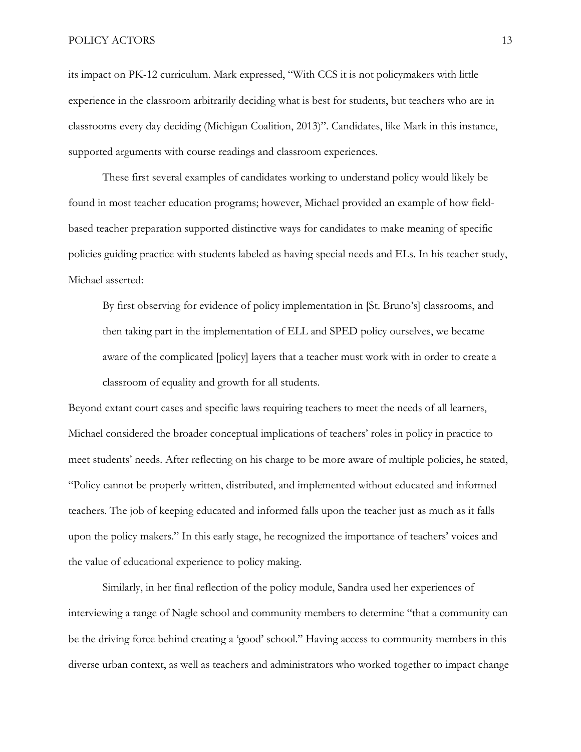its impact on PK-12 curriculum. Mark expressed, "With CCS it is not policymakers with little experience in the classroom arbitrarily deciding what is best for students, but teachers who are in classrooms every day deciding (Michigan Coalition, 2013)". Candidates, like Mark in this instance, supported arguments with course readings and classroom experiences.

These first several examples of candidates working to understand policy would likely be found in most teacher education programs; however, Michael provided an example of how fieldbased teacher preparation supported distinctive ways for candidates to make meaning of specific policies guiding practice with students labeled as having special needs and ELs. In his teacher study, Michael asserted:

By first observing for evidence of policy implementation in [St. Bruno's] classrooms, and then taking part in the implementation of ELL and SPED policy ourselves, we became aware of the complicated [policy] layers that a teacher must work with in order to create a classroom of equality and growth for all students.

Beyond extant court cases and specific laws requiring teachers to meet the needs of all learners, Michael considered the broader conceptual implications of teachers' roles in policy in practice to meet students' needs. After reflecting on his charge to be more aware of multiple policies, he stated, "Policy cannot be properly written, distributed, and implemented without educated and informed teachers. The job of keeping educated and informed falls upon the teacher just as much as it falls upon the policy makers." In this early stage, he recognized the importance of teachers' voices and the value of educational experience to policy making.

Similarly, in her final reflection of the policy module, Sandra used her experiences of interviewing a range of Nagle school and community members to determine "that a community can be the driving force behind creating a 'good' school." Having access to community members in this diverse urban context, as well as teachers and administrators who worked together to impact change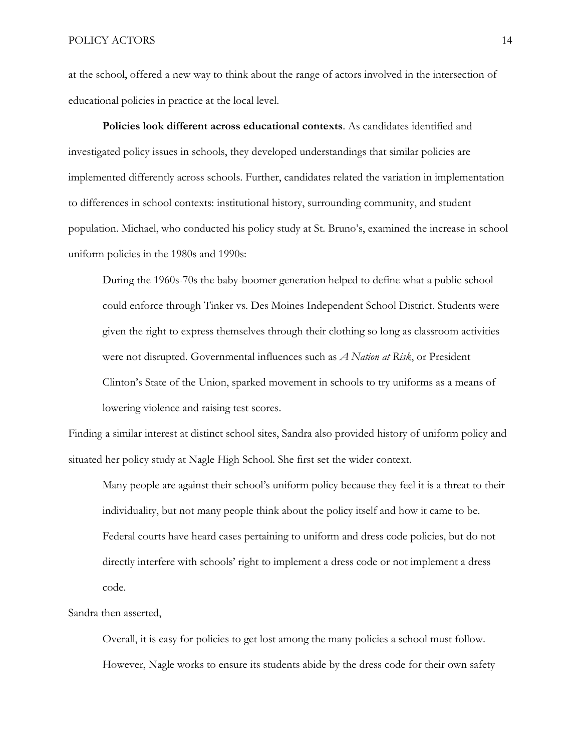at the school, offered a new way to think about the range of actors involved in the intersection of educational policies in practice at the local level.

**Policies look different across educational contexts**. As candidates identified and investigated policy issues in schools, they developed understandings that similar policies are implemented differently across schools. Further, candidates related the variation in implementation to differences in school contexts: institutional history, surrounding community, and student population. Michael, who conducted his policy study at St. Bruno's, examined the increase in school uniform policies in the 1980s and 1990s:

During the 1960s-70s the baby-boomer generation helped to define what a public school could enforce through Tinker vs. Des Moines Independent School District. Students were given the right to express themselves through their clothing so long as classroom activities were not disrupted. Governmental influences such as *A Nation at Risk*, or President Clinton's State of the Union, sparked movement in schools to try uniforms as a means of lowering violence and raising test scores.

Finding a similar interest at distinct school sites, Sandra also provided history of uniform policy and situated her policy study at Nagle High School. She first set the wider context.

Many people are against their school's uniform policy because they feel it is a threat to their individuality, but not many people think about the policy itself and how it came to be. Federal courts have heard cases pertaining to uniform and dress code policies, but do not directly interfere with schools' right to implement a dress code or not implement a dress code.

Sandra then asserted,

Overall, it is easy for policies to get lost among the many policies a school must follow. However, Nagle works to ensure its students abide by the dress code for their own safety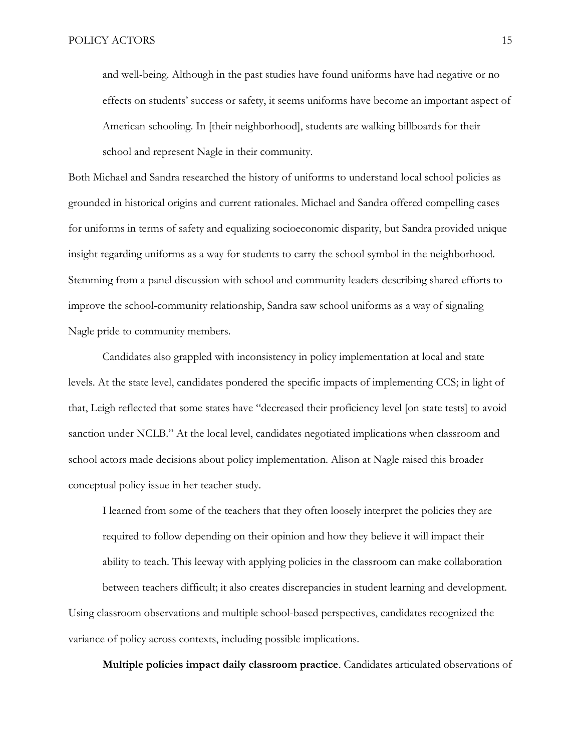and well-being. Although in the past studies have found uniforms have had negative or no effects on students' success or safety, it seems uniforms have become an important aspect of American schooling. In [their neighborhood], students are walking billboards for their school and represent Nagle in their community.

Both Michael and Sandra researched the history of uniforms to understand local school policies as grounded in historical origins and current rationales. Michael and Sandra offered compelling cases for uniforms in terms of safety and equalizing socioeconomic disparity, but Sandra provided unique insight regarding uniforms as a way for students to carry the school symbol in the neighborhood. Stemming from a panel discussion with school and community leaders describing shared efforts to improve the school-community relationship, Sandra saw school uniforms as a way of signaling Nagle pride to community members.

Candidates also grappled with inconsistency in policy implementation at local and state levels. At the state level, candidates pondered the specific impacts of implementing CCS; in light of that, Leigh reflected that some states have "decreased their proficiency level [on state tests] to avoid sanction under NCLB." At the local level, candidates negotiated implications when classroom and school actors made decisions about policy implementation. Alison at Nagle raised this broader conceptual policy issue in her teacher study.

I learned from some of the teachers that they often loosely interpret the policies they are required to follow depending on their opinion and how they believe it will impact their ability to teach. This leeway with applying policies in the classroom can make collaboration between teachers difficult; it also creates discrepancies in student learning and development.

Using classroom observations and multiple school-based perspectives, candidates recognized the variance of policy across contexts, including possible implications.

**Multiple policies impact daily classroom practice**. Candidates articulated observations of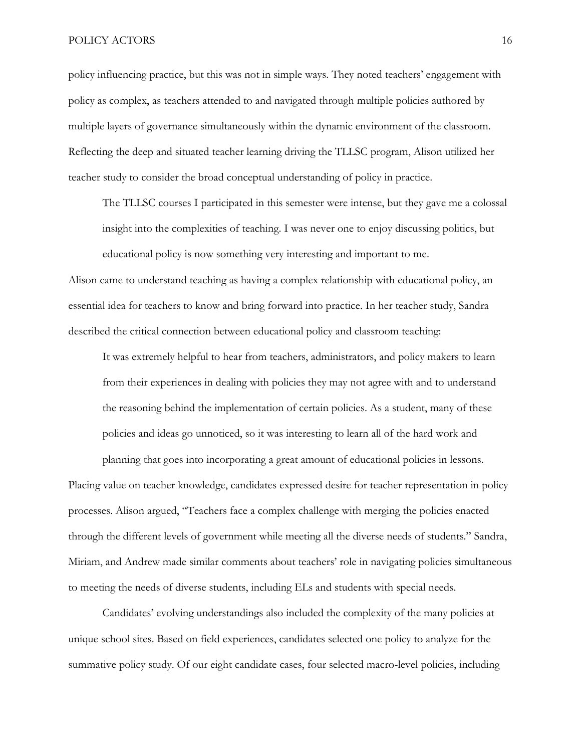#### POLICY ACTORS 16

policy influencing practice, but this was not in simple ways. They noted teachers' engagement with policy as complex, as teachers attended to and navigated through multiple policies authored by multiple layers of governance simultaneously within the dynamic environment of the classroom. Reflecting the deep and situated teacher learning driving the TLLSC program, Alison utilized her teacher study to consider the broad conceptual understanding of policy in practice.

The TLLSC courses I participated in this semester were intense, but they gave me a colossal insight into the complexities of teaching. I was never one to enjoy discussing politics, but educational policy is now something very interesting and important to me.

Alison came to understand teaching as having a complex relationship with educational policy, an essential idea for teachers to know and bring forward into practice. In her teacher study, Sandra described the critical connection between educational policy and classroom teaching:

It was extremely helpful to hear from teachers, administrators, and policy makers to learn from their experiences in dealing with policies they may not agree with and to understand the reasoning behind the implementation of certain policies. As a student, many of these policies and ideas go unnoticed, so it was interesting to learn all of the hard work and

planning that goes into incorporating a great amount of educational policies in lessons. Placing value on teacher knowledge, candidates expressed desire for teacher representation in policy processes. Alison argued, "Teachers face a complex challenge with merging the policies enacted through the different levels of government while meeting all the diverse needs of students." Sandra, Miriam, and Andrew made similar comments about teachers' role in navigating policies simultaneous to meeting the needs of diverse students, including ELs and students with special needs.

Candidates' evolving understandings also included the complexity of the many policies at unique school sites. Based on field experiences, candidates selected one policy to analyze for the summative policy study. Of our eight candidate cases, four selected macro-level policies, including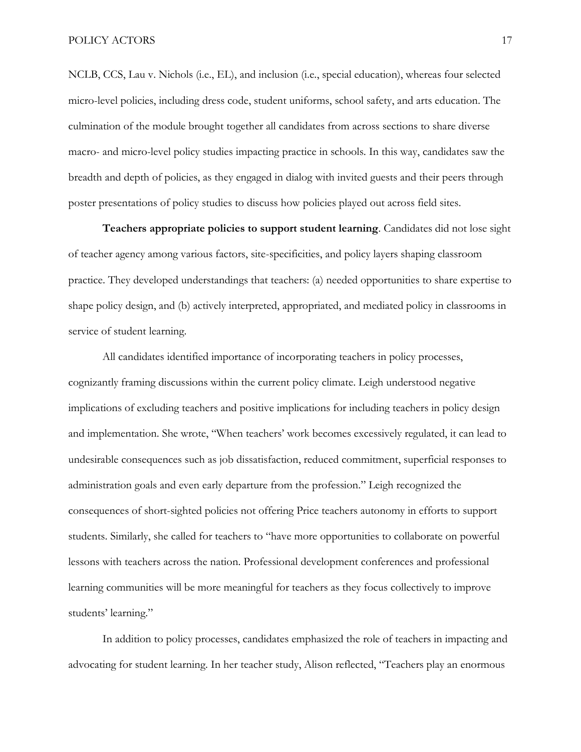NCLB, CCS, Lau v. Nichols (i.e., EL), and inclusion (i.e., special education), whereas four selected micro-level policies, including dress code, student uniforms, school safety, and arts education. The culmination of the module brought together all candidates from across sections to share diverse macro- and micro-level policy studies impacting practice in schools. In this way, candidates saw the breadth and depth of policies, as they engaged in dialog with invited guests and their peers through poster presentations of policy studies to discuss how policies played out across field sites.

**Teachers appropriate policies to support student learning**. Candidates did not lose sight of teacher agency among various factors, site-specificities, and policy layers shaping classroom practice. They developed understandings that teachers: (a) needed opportunities to share expertise to shape policy design, and (b) actively interpreted, appropriated, and mediated policy in classrooms in service of student learning.

All candidates identified importance of incorporating teachers in policy processes, cognizantly framing discussions within the current policy climate. Leigh understood negative implications of excluding teachers and positive implications for including teachers in policy design and implementation. She wrote, "When teachers' work becomes excessively regulated, it can lead to undesirable consequences such as job dissatisfaction, reduced commitment, superficial responses to administration goals and even early departure from the profession." Leigh recognized the consequences of short-sighted policies not offering Price teachers autonomy in efforts to support students. Similarly, she called for teachers to "have more opportunities to collaborate on powerful lessons with teachers across the nation. Professional development conferences and professional learning communities will be more meaningful for teachers as they focus collectively to improve students' learning."

In addition to policy processes, candidates emphasized the role of teachers in impacting and advocating for student learning. In her teacher study, Alison reflected, "Teachers play an enormous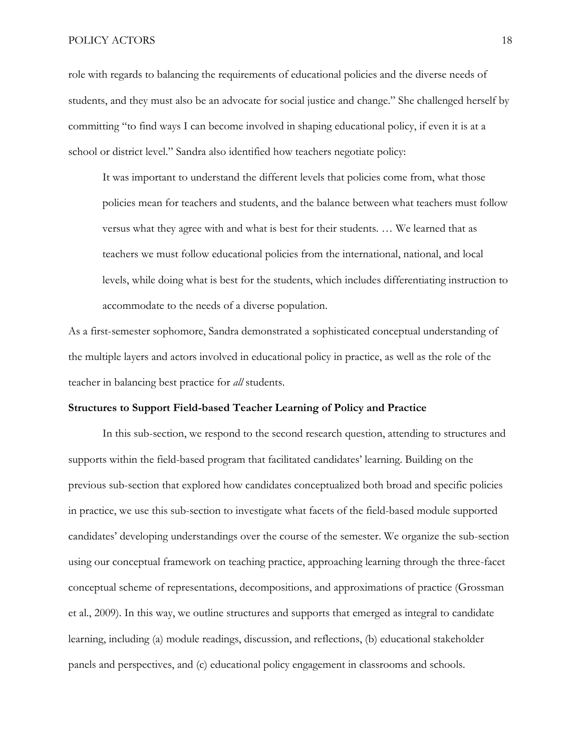#### POLICY ACTORS 18

role with regards to balancing the requirements of educational policies and the diverse needs of students, and they must also be an advocate for social justice and change." She challenged herself by committing "to find ways I can become involved in shaping educational policy, if even it is at a school or district level." Sandra also identified how teachers negotiate policy:

It was important to understand the different levels that policies come from, what those policies mean for teachers and students, and the balance between what teachers must follow versus what they agree with and what is best for their students. … We learned that as teachers we must follow educational policies from the international, national, and local levels, while doing what is best for the students, which includes differentiating instruction to accommodate to the needs of a diverse population.

As a first-semester sophomore, Sandra demonstrated a sophisticated conceptual understanding of the multiple layers and actors involved in educational policy in practice, as well as the role of the teacher in balancing best practice for *all* students.

# **Structures to Support Field-based Teacher Learning of Policy and Practice**

In this sub-section, we respond to the second research question, attending to structures and supports within the field-based program that facilitated candidates' learning. Building on the previous sub-section that explored how candidates conceptualized both broad and specific policies in practice, we use this sub-section to investigate what facets of the field-based module supported candidates' developing understandings over the course of the semester. We organize the sub-section using our conceptual framework on teaching practice, approaching learning through the three-facet conceptual scheme of representations, decompositions, and approximations of practice (Grossman et al., 2009). In this way, we outline structures and supports that emerged as integral to candidate learning, including (a) module readings, discussion, and reflections, (b) educational stakeholder panels and perspectives, and (c) educational policy engagement in classrooms and schools.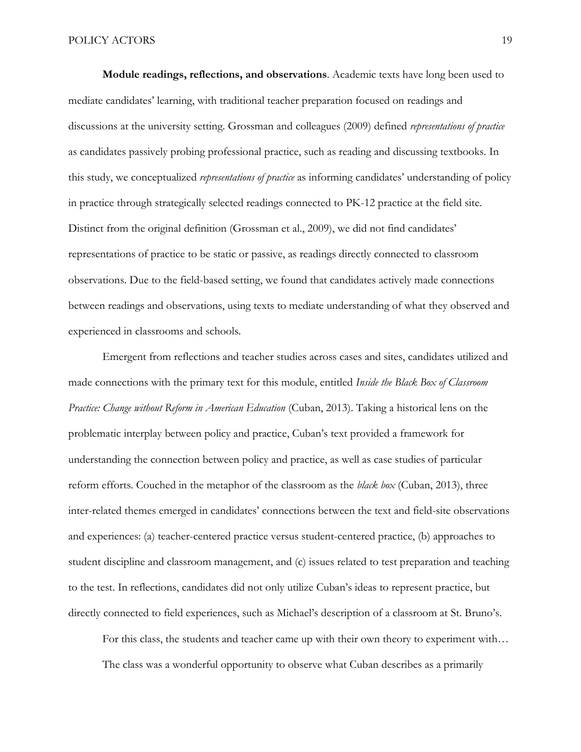**Module readings, reflections, and observations**. Academic texts have long been used to mediate candidates' learning, with traditional teacher preparation focused on readings and discussions at the university setting. Grossman and colleagues (2009) defined *representations of practice*  as candidates passively probing professional practice, such as reading and discussing textbooks. In this study, we conceptualized *representations of practice* as informing candidates' understanding of policy in practice through strategically selected readings connected to PK-12 practice at the field site. Distinct from the original definition (Grossman et al., 2009), we did not find candidates' representations of practice to be static or passive, as readings directly connected to classroom observations. Due to the field-based setting, we found that candidates actively made connections between readings and observations, using texts to mediate understanding of what they observed and experienced in classrooms and schools.

Emergent from reflections and teacher studies across cases and sites, candidates utilized and made connections with the primary text for this module, entitled *Inside the Black Box of Classroom Practice: Change without Reform in American Education* (Cuban, 2013). Taking a historical lens on the problematic interplay between policy and practice, Cuban's text provided a framework for understanding the connection between policy and practice, as well as case studies of particular reform efforts. Couched in the metaphor of the classroom as the *black box* (Cuban, 2013), three inter-related themes emerged in candidates' connections between the text and field-site observations and experiences: (a) teacher-centered practice versus student-centered practice, (b) approaches to student discipline and classroom management, and (c) issues related to test preparation and teaching to the test. In reflections, candidates did not only utilize Cuban's ideas to represent practice, but directly connected to field experiences, such as Michael's description of a classroom at St. Bruno's.

For this class, the students and teacher came up with their own theory to experiment with… The class was a wonderful opportunity to observe what Cuban describes as a primarily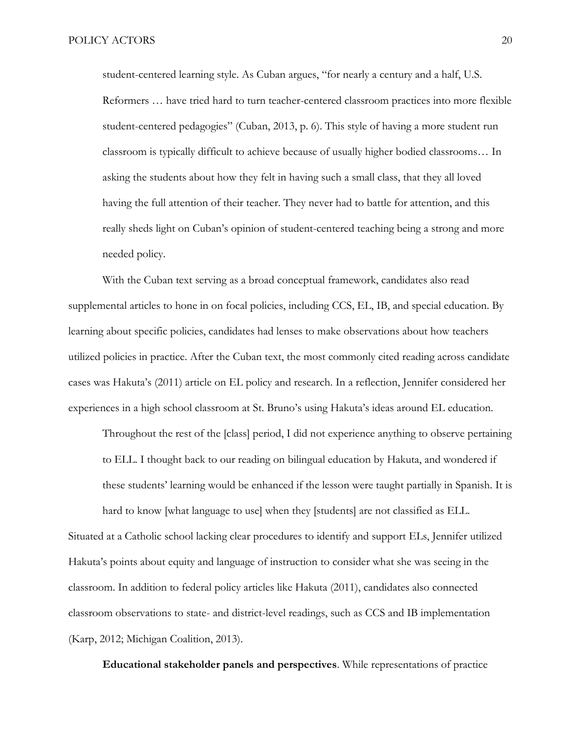student-centered learning style. As Cuban argues, "for nearly a century and a half, U.S. Reformers … have tried hard to turn teacher-centered classroom practices into more flexible student-centered pedagogies" (Cuban, 2013, p. 6). This style of having a more student run classroom is typically difficult to achieve because of usually higher bodied classrooms… In asking the students about how they felt in having such a small class, that they all loved having the full attention of their teacher. They never had to battle for attention, and this really sheds light on Cuban's opinion of student-centered teaching being a strong and more needed policy.

With the Cuban text serving as a broad conceptual framework, candidates also read supplemental articles to hone in on focal policies, including CCS, EL, IB, and special education. By learning about specific policies, candidates had lenses to make observations about how teachers utilized policies in practice. After the Cuban text, the most commonly cited reading across candidate cases was Hakuta's (2011) article on EL policy and research. In a reflection, Jennifer considered her experiences in a high school classroom at St. Bruno's using Hakuta's ideas around EL education.

Throughout the rest of the [class] period, I did not experience anything to observe pertaining to ELL. I thought back to our reading on bilingual education by Hakuta, and wondered if these students' learning would be enhanced if the lesson were taught partially in Spanish. It is

hard to know [what language to use] when they [students] are not classified as ELL. Situated at a Catholic school lacking clear procedures to identify and support ELs, Jennifer utilized Hakuta's points about equity and language of instruction to consider what she was seeing in the classroom. In addition to federal policy articles like Hakuta (2011), candidates also connected classroom observations to state- and district-level readings, such as CCS and IB implementation (Karp, 2012; Michigan Coalition, 2013).

**Educational stakeholder panels and perspectives**. While representations of practice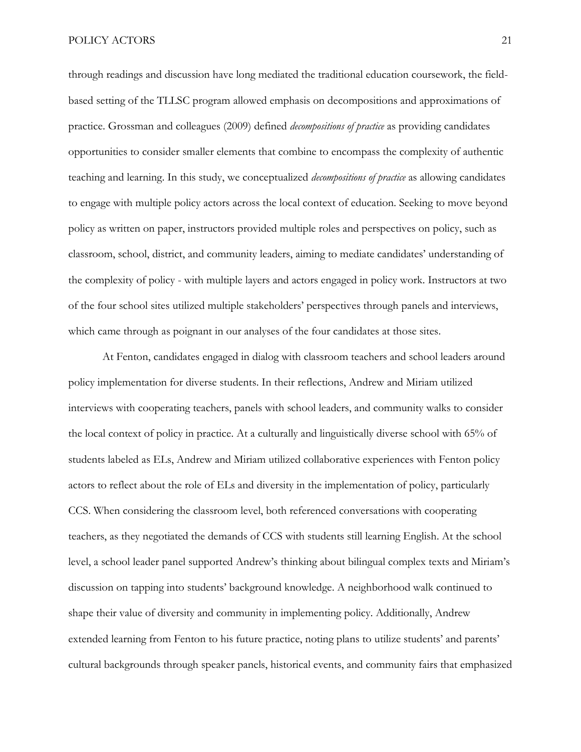through readings and discussion have long mediated the traditional education coursework, the fieldbased setting of the TLLSC program allowed emphasis on decompositions and approximations of practice. Grossman and colleagues (2009) defined *decompositions of practice* as providing candidates opportunities to consider smaller elements that combine to encompass the complexity of authentic teaching and learning. In this study, we conceptualized *decompositions of practice* as allowing candidates to engage with multiple policy actors across the local context of education. Seeking to move beyond policy as written on paper, instructors provided multiple roles and perspectives on policy, such as classroom, school, district, and community leaders, aiming to mediate candidates' understanding of the complexity of policy - with multiple layers and actors engaged in policy work. Instructors at two of the four school sites utilized multiple stakeholders' perspectives through panels and interviews, which came through as poignant in our analyses of the four candidates at those sites.

At Fenton, candidates engaged in dialog with classroom teachers and school leaders around policy implementation for diverse students. In their reflections, Andrew and Miriam utilized interviews with cooperating teachers, panels with school leaders, and community walks to consider the local context of policy in practice. At a culturally and linguistically diverse school with 65% of students labeled as ELs, Andrew and Miriam utilized collaborative experiences with Fenton policy actors to reflect about the role of ELs and diversity in the implementation of policy, particularly CCS. When considering the classroom level, both referenced conversations with cooperating teachers, as they negotiated the demands of CCS with students still learning English. At the school level, a school leader panel supported Andrew's thinking about bilingual complex texts and Miriam's discussion on tapping into students' background knowledge. A neighborhood walk continued to shape their value of diversity and community in implementing policy. Additionally, Andrew extended learning from Fenton to his future practice, noting plans to utilize students' and parents' cultural backgrounds through speaker panels, historical events, and community fairs that emphasized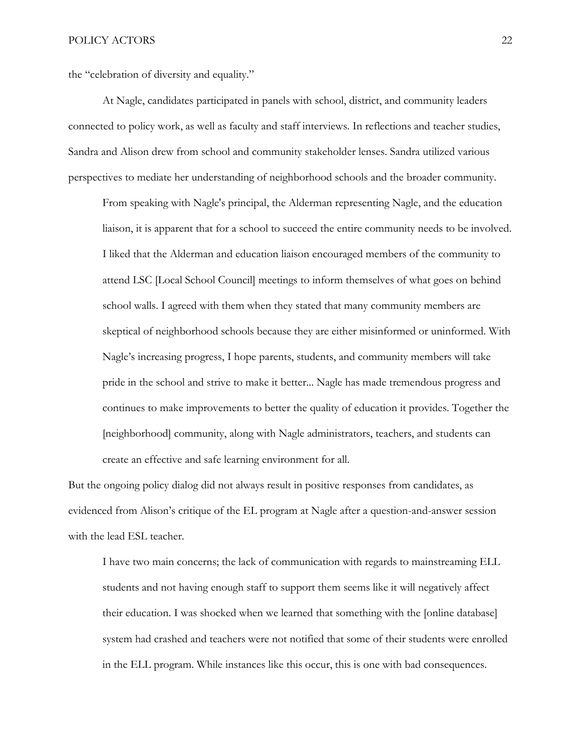the "celebration of diversity and equality."

At Nagle, candidates participated in panels with school, district, and community leaders connected to policy work, as well as faculty and staff interviews. In reflections and teacher studies, Sandra and Alison drew from school and community stakeholder lenses. Sandra utilized various perspectives to mediate her understanding of neighborhood schools and the broader community.

From speaking with Nagle's principal, the Alderman representing Nagle, and the education liaison, it is apparent that for a school to succeed the entire community needs to be involved. I liked that the Alderman and education liaison encouraged members of the community to attend LSC [Local School Council] meetings to inform themselves of what goes on behind school walls. I agreed with them when they stated that many community members are skeptical of neighborhood schools because they are either misinformed or uninformed. With Nagle's increasing progress, I hope parents, students, and community members will take pride in the school and strive to make it better... Nagle has made tremendous progress and continues to make improvements to better the quality of education it provides. Together the [neighborhood] community, along with Nagle administrators, teachers, and students can create an effective and safe learning environment for all.

But the ongoing policy dialog did not always result in positive responses from candidates, as evidenced from Alison's critique of the EL program at Nagle after a question-and-answer session with the lead ESL teacher.

I have two main concerns; the lack of communication with regards to mainstreaming ELL students and not having enough staff to support them seems like it will negatively affect their education. I was shocked when we learned that something with the [online database] system had crashed and teachers were not notified that some of their students were enrolled in the ELL program. While instances like this occur, this is one with bad consequences.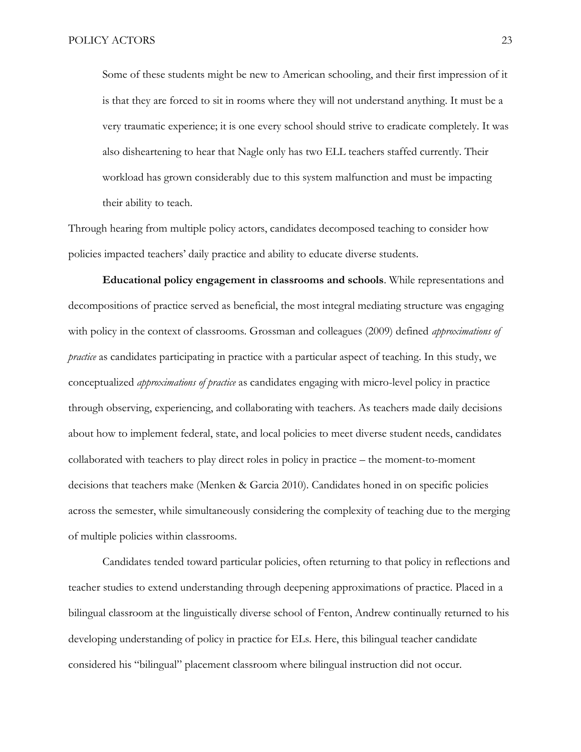Some of these students might be new to American schooling, and their first impression of it is that they are forced to sit in rooms where they will not understand anything. It must be a very traumatic experience; it is one every school should strive to eradicate completely. It was also disheartening to hear that Nagle only has two ELL teachers staffed currently. Their workload has grown considerably due to this system malfunction and must be impacting their ability to teach.

Through hearing from multiple policy actors, candidates decomposed teaching to consider how policies impacted teachers' daily practice and ability to educate diverse students.

**Educational policy engagement in classrooms and schools**. While representations and decompositions of practice served as beneficial, the most integral mediating structure was engaging with policy in the context of classrooms. Grossman and colleagues (2009) defined *approximations of practice* as candidates participating in practice with a particular aspect of teaching. In this study, we conceptualized *approximations of practice* as candidates engaging with micro-level policy in practice through observing, experiencing, and collaborating with teachers. As teachers made daily decisions about how to implement federal, state, and local policies to meet diverse student needs, candidates collaborated with teachers to play direct roles in policy in practice – the moment-to-moment decisions that teachers make (Menken & Garcia 2010). Candidates honed in on specific policies across the semester, while simultaneously considering the complexity of teaching due to the merging of multiple policies within classrooms.

Candidates tended toward particular policies, often returning to that policy in reflections and teacher studies to extend understanding through deepening approximations of practice. Placed in a bilingual classroom at the linguistically diverse school of Fenton, Andrew continually returned to his developing understanding of policy in practice for ELs. Here, this bilingual teacher candidate considered his "bilingual" placement classroom where bilingual instruction did not occur.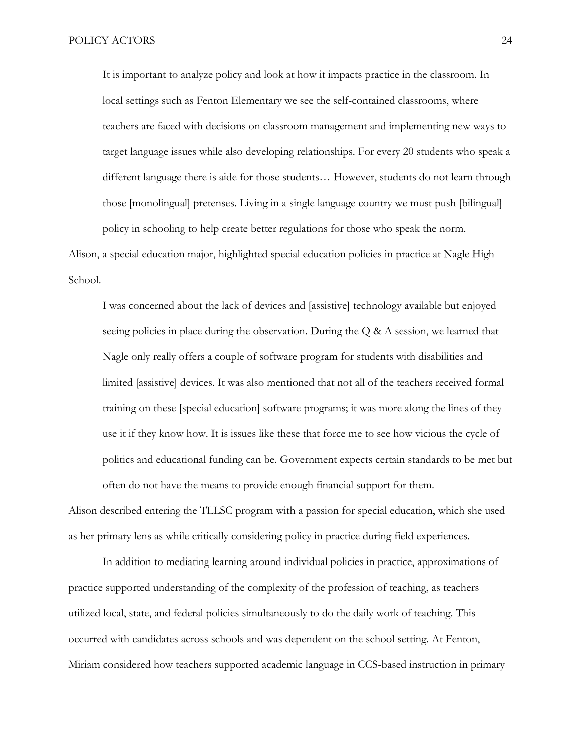It is important to analyze policy and look at how it impacts practice in the classroom. In local settings such as Fenton Elementary we see the self-contained classrooms, where teachers are faced with decisions on classroom management and implementing new ways to target language issues while also developing relationships. For every 20 students who speak a different language there is aide for those students… However, students do not learn through those [monolingual] pretenses. Living in a single language country we must push [bilingual] policy in schooling to help create better regulations for those who speak the norm.

Alison, a special education major, highlighted special education policies in practice at Nagle High School.

I was concerned about the lack of devices and [assistive] technology available but enjoyed seeing policies in place during the observation. During the  $Q \& A$  session, we learned that Nagle only really offers a couple of software program for students with disabilities and limited [assistive] devices. It was also mentioned that not all of the teachers received formal training on these [special education] software programs; it was more along the lines of they use it if they know how. It is issues like these that force me to see how vicious the cycle of politics and educational funding can be. Government expects certain standards to be met but often do not have the means to provide enough financial support for them.

Alison described entering the TLLSC program with a passion for special education, which she used as her primary lens as while critically considering policy in practice during field experiences.

In addition to mediating learning around individual policies in practice, approximations of practice supported understanding of the complexity of the profession of teaching, as teachers utilized local, state, and federal policies simultaneously to do the daily work of teaching. This occurred with candidates across schools and was dependent on the school setting. At Fenton, Miriam considered how teachers supported academic language in CCS-based instruction in primary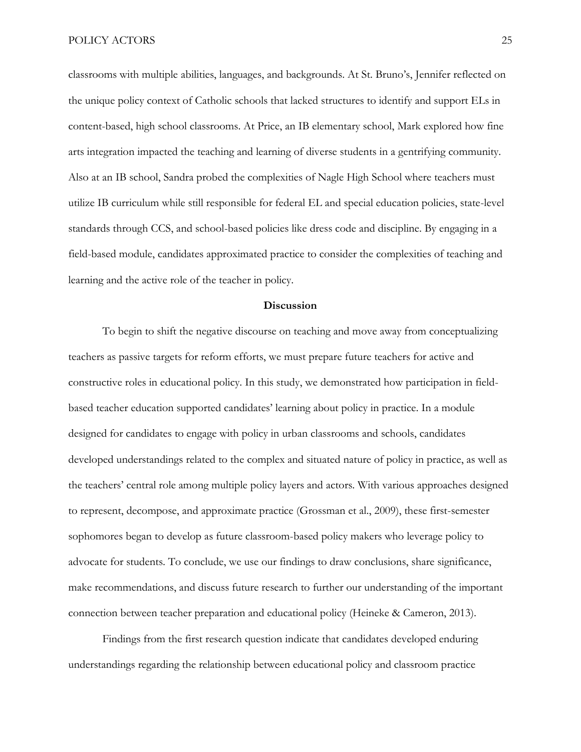classrooms with multiple abilities, languages, and backgrounds. At St. Bruno's, Jennifer reflected on the unique policy context of Catholic schools that lacked structures to identify and support ELs in content-based, high school classrooms. At Price, an IB elementary school, Mark explored how fine arts integration impacted the teaching and learning of diverse students in a gentrifying community. Also at an IB school, Sandra probed the complexities of Nagle High School where teachers must utilize IB curriculum while still responsible for federal EL and special education policies, state-level standards through CCS, and school-based policies like dress code and discipline. By engaging in a field-based module, candidates approximated practice to consider the complexities of teaching and learning and the active role of the teacher in policy.

#### **Discussion**

To begin to shift the negative discourse on teaching and move away from conceptualizing teachers as passive targets for reform efforts, we must prepare future teachers for active and constructive roles in educational policy. In this study, we demonstrated how participation in fieldbased teacher education supported candidates' learning about policy in practice. In a module designed for candidates to engage with policy in urban classrooms and schools, candidates developed understandings related to the complex and situated nature of policy in practice, as well as the teachers' central role among multiple policy layers and actors. With various approaches designed to represent, decompose, and approximate practice (Grossman et al., 2009), these first-semester sophomores began to develop as future classroom-based policy makers who leverage policy to advocate for students. To conclude, we use our findings to draw conclusions, share significance, make recommendations, and discuss future research to further our understanding of the important connection between teacher preparation and educational policy (Heineke & Cameron, 2013).

Findings from the first research question indicate that candidates developed enduring understandings regarding the relationship between educational policy and classroom practice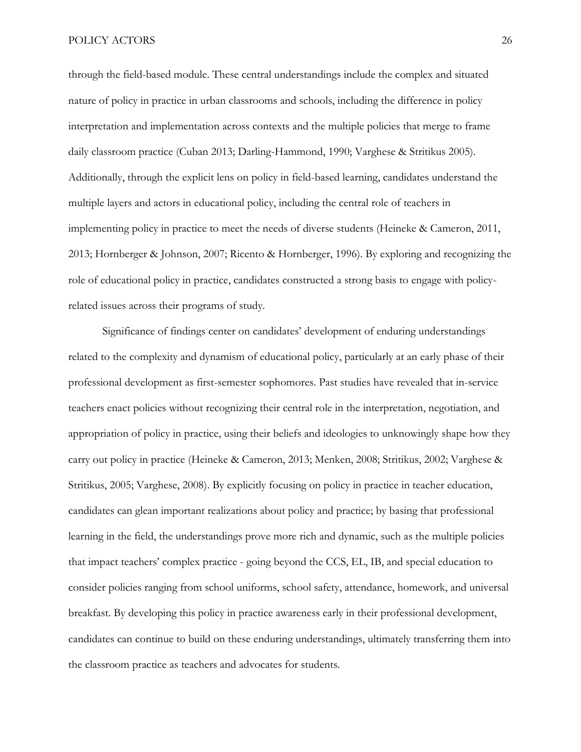through the field-based module. These central understandings include the complex and situated nature of policy in practice in urban classrooms and schools, including the difference in policy interpretation and implementation across contexts and the multiple policies that merge to frame daily classroom practice (Cuban 2013; Darling-Hammond, 1990; Varghese & Stritikus 2005). Additionally, through the explicit lens on policy in field-based learning, candidates understand the multiple layers and actors in educational policy, including the central role of teachers in implementing policy in practice to meet the needs of diverse students (Heineke & Cameron, 2011, 2013; Hornberger & Johnson, 2007; Ricento & Hornberger, 1996). By exploring and recognizing the role of educational policy in practice, candidates constructed a strong basis to engage with policyrelated issues across their programs of study.

Significance of findings center on candidates' development of enduring understandings related to the complexity and dynamism of educational policy, particularly at an early phase of their professional development as first-semester sophomores. Past studies have revealed that in-service teachers enact policies without recognizing their central role in the interpretation, negotiation, and appropriation of policy in practice, using their beliefs and ideologies to unknowingly shape how they carry out policy in practice (Heineke & Cameron, 2013; Menken, 2008; Stritikus, 2002; Varghese & Stritikus, 2005; Varghese, 2008). By explicitly focusing on policy in practice in teacher education, candidates can glean important realizations about policy and practice; by basing that professional learning in the field, the understandings prove more rich and dynamic, such as the multiple policies that impact teachers' complex practice - going beyond the CCS, EL, IB, and special education to consider policies ranging from school uniforms, school safety, attendance, homework, and universal breakfast. By developing this policy in practice awareness early in their professional development, candidates can continue to build on these enduring understandings, ultimately transferring them into the classroom practice as teachers and advocates for students.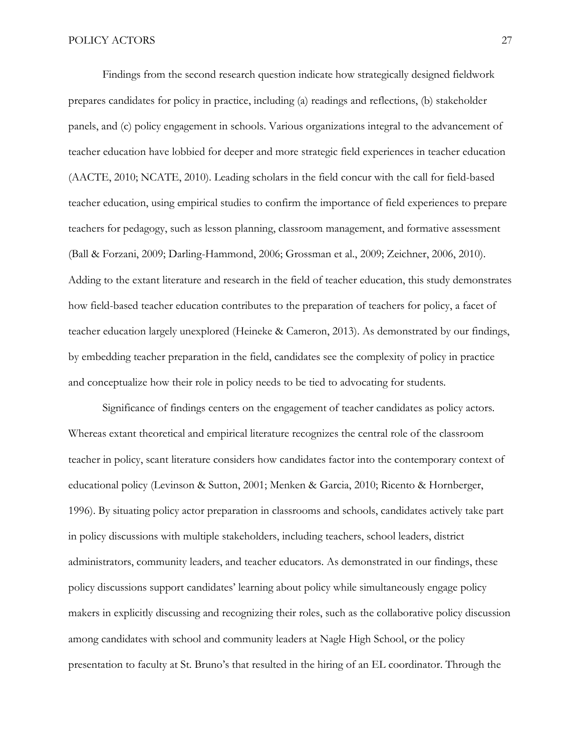Findings from the second research question indicate how strategically designed fieldwork prepares candidates for policy in practice, including (a) readings and reflections, (b) stakeholder panels, and (c) policy engagement in schools. Various organizations integral to the advancement of teacher education have lobbied for deeper and more strategic field experiences in teacher education (AACTE, 2010; NCATE, 2010). Leading scholars in the field concur with the call for field-based teacher education, using empirical studies to confirm the importance of field experiences to prepare teachers for pedagogy, such as lesson planning, classroom management, and formative assessment (Ball & Forzani, 2009; Darling-Hammond, 2006; Grossman et al., 2009; Zeichner, 2006, 2010). Adding to the extant literature and research in the field of teacher education, this study demonstrates how field-based teacher education contributes to the preparation of teachers for policy, a facet of teacher education largely unexplored (Heineke & Cameron, 2013). As demonstrated by our findings, by embedding teacher preparation in the field, candidates see the complexity of policy in practice and conceptualize how their role in policy needs to be tied to advocating for students.

Significance of findings centers on the engagement of teacher candidates as policy actors. Whereas extant theoretical and empirical literature recognizes the central role of the classroom teacher in policy, scant literature considers how candidates factor into the contemporary context of educational policy (Levinson & Sutton, 2001; Menken & Garcia, 2010; Ricento & Hornberger, 1996). By situating policy actor preparation in classrooms and schools, candidates actively take part in policy discussions with multiple stakeholders, including teachers, school leaders, district administrators, community leaders, and teacher educators. As demonstrated in our findings, these policy discussions support candidates' learning about policy while simultaneously engage policy makers in explicitly discussing and recognizing their roles, such as the collaborative policy discussion among candidates with school and community leaders at Nagle High School, or the policy presentation to faculty at St. Bruno's that resulted in the hiring of an EL coordinator. Through the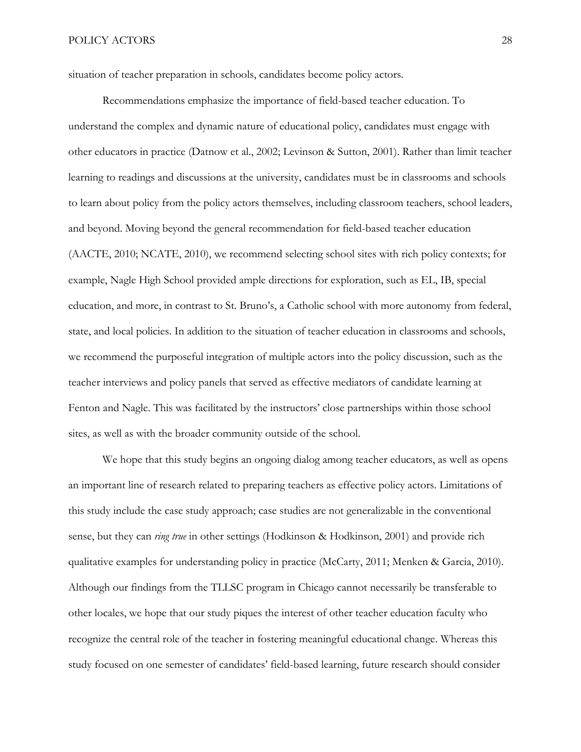situation of teacher preparation in schools, candidates become policy actors.

Recommendations emphasize the importance of field-based teacher education. To understand the complex and dynamic nature of educational policy, candidates must engage with other educators in practice (Datnow et al., 2002; Levinson & Sutton, 2001). Rather than limit teacher learning to readings and discussions at the university, candidates must be in classrooms and schools to learn about policy from the policy actors themselves, including classroom teachers, school leaders, and beyond. Moving beyond the general recommendation for field-based teacher education (AACTE, 2010; NCATE, 2010), we recommend selecting school sites with rich policy contexts; for example, Nagle High School provided ample directions for exploration, such as EL, IB, special education, and more, in contrast to St. Bruno's, a Catholic school with more autonomy from federal, state, and local policies. In addition to the situation of teacher education in classrooms and schools, we recommend the purposeful integration of multiple actors into the policy discussion, such as the teacher interviews and policy panels that served as effective mediators of candidate learning at Fenton and Nagle. This was facilitated by the instructors' close partnerships within those school sites, as well as with the broader community outside of the school.

We hope that this study begins an ongoing dialog among teacher educators, as well as opens an important line of research related to preparing teachers as effective policy actors. Limitations of this study include the case study approach; case studies are not generalizable in the conventional sense, but they can *ring true* in other settings (Hodkinson & Hodkinson, 2001) and provide rich qualitative examples for understanding policy in practice (McCarty, 2011; Menken & Garcia, 2010). Although our findings from the TLLSC program in Chicago cannot necessarily be transferable to other locales, we hope that our study piques the interest of other teacher education faculty who recognize the central role of the teacher in fostering meaningful educational change. Whereas this study focused on one semester of candidates' field-based learning, future research should consider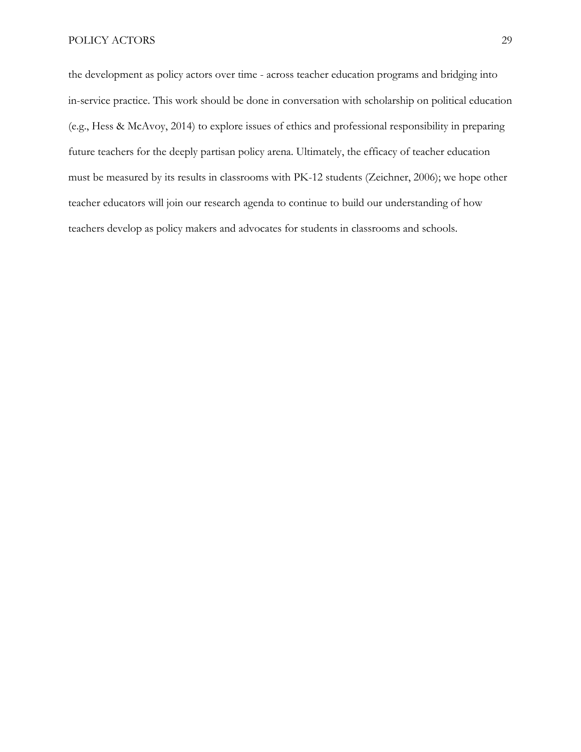the development as policy actors over time - across teacher education programs and bridging into in-service practice. This work should be done in conversation with scholarship on political education (e.g., Hess & McAvoy, 2014) to explore issues of ethics and professional responsibility in preparing future teachers for the deeply partisan policy arena. Ultimately, the efficacy of teacher education must be measured by its results in classrooms with PK-12 students (Zeichner, 2006); we hope other teacher educators will join our research agenda to continue to build our understanding of how teachers develop as policy makers and advocates for students in classrooms and schools.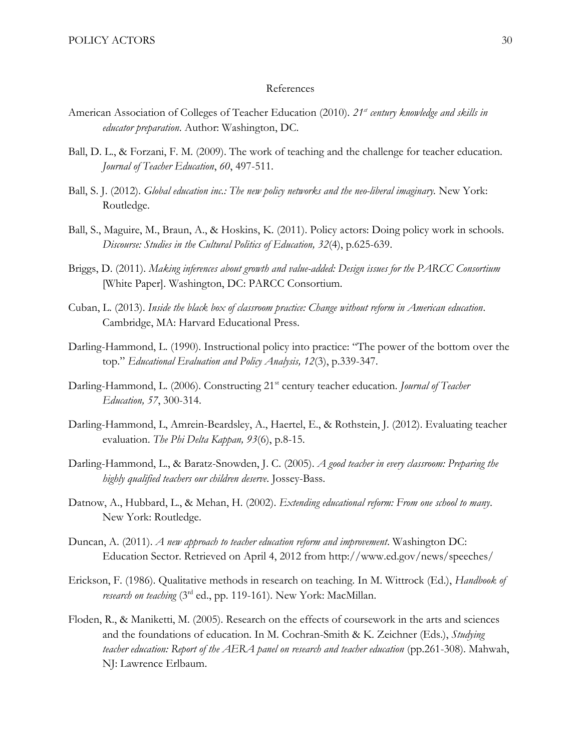# References

- American Association of Colleges of Teacher Education (2010). 21<sup>st</sup> century knowledge and skills in *educator preparation*. Author: Washington, DC.
- Ball, D. L., & Forzani, F. M. (2009). The work of teaching and the challenge for teacher education. *Journal of Teacher Education*, *60*, 497-511.
- Ball, S. J. (2012). *Global education inc.: The new policy networks and the neo-liberal imaginary*. New York: Routledge.
- Ball, S., Maguire, M., Braun, A., & Hoskins, K. (2011). Policy actors: Doing policy work in schools. *Discourse: Studies in the Cultural Politics of Education, 32*(4), p.625-639.
- Briggs, D. (2011). *Making inferences about growth and value-added: Design issues for the PARCC Consortium* [White Paper]. Washington, DC: PARCC Consortium.
- Cuban, L. (2013). *Inside the black box of classroom practice: Change without reform in American education*. Cambridge, MA: Harvard Educational Press.
- Darling-Hammond, L. (1990). Instructional policy into practice: "The power of the bottom over the top." *Educational Evaluation and Policy Analysis, 12*(3), p.339-347.
- Darling-Hammond, L. (2006). Constructing 21<sup>st</sup> century teacher education. *Journal of Teacher Education, 57*, 300-314.
- Darling-Hammond, L, Amrein-Beardsley, A., Haertel, E., & Rothstein, J. (2012). Evaluating teacher evaluation. *The Phi Delta Kappan, 93*(6), p.8-15.
- Darling-Hammond, L., & Baratz-Snowden, J. C. (2005). *A good teacher in every classroom: Preparing the highly qualified teachers our children deserve*. Jossey-Bass.
- Datnow, A., Hubbard, L., & Mehan, H. (2002). *Extending educational reform: From one school to many*. New York: Routledge.
- Duncan, A. (2011). *A new approach to teacher education reform and improvement*. Washington DC: Education Sector. Retrieved on April 4, 2012 from http://www.ed.gov/news/speeches/
- Erickson, F. (1986). Qualitative methods in research on teaching. In M. Wittrock (Ed.), *Handbook of research on teaching* (3<sup>rd</sup> ed., pp. 119-161). New York: MacMillan.
- Floden, R., & Maniketti, M. (2005). Research on the effects of coursework in the arts and sciences and the foundations of education. In M. Cochran-Smith & K. Zeichner (Eds.), *Studying teacher education: Report of the AERA panel on research and teacher education (pp.261-308). Mahwah,* NJ: Lawrence Erlbaum.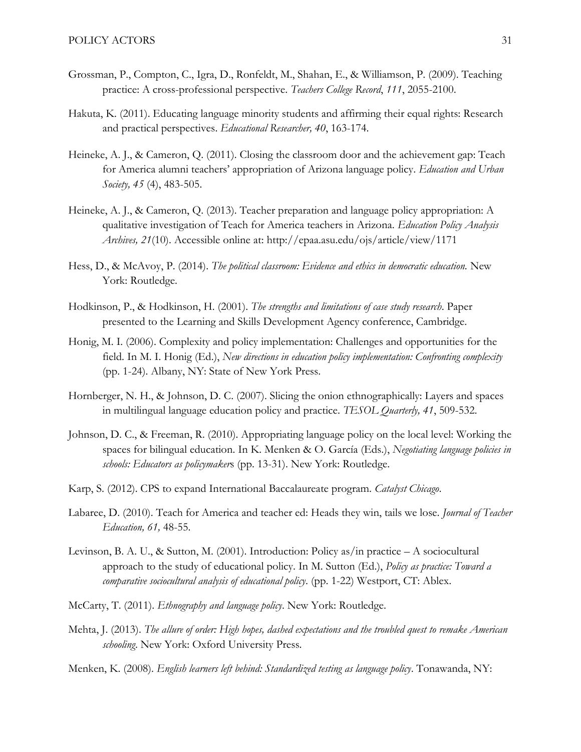- Grossman, P., Compton, C., Igra, D., Ronfeldt, M., Shahan, E., & Williamson, P. (2009). Teaching practice: A cross-professional perspective. *Teachers College Record*, *111*, 2055-2100.
- Hakuta, K. (2011). Educating language minority students and affirming their equal rights: Research and practical perspectives. *Educational Researcher, 40*, 163-174.
- Heineke, A. J., & Cameron, Q. (2011). Closing the classroom door and the achievement gap: Teach for America alumni teachers' appropriation of Arizona language policy. *Education and Urban Society, 45* (4), 483-505.
- Heineke, A. J., & Cameron, Q. (2013). Teacher preparation and language policy appropriation: A qualitative investigation of Teach for America teachers in Arizona. *Education Policy Analysis Archives, 21*(10). Accessible online at: <http://epaa.asu.edu/ojs/article/view/1171>
- Hess, D., & McAvoy, P. (2014). *The political classroom: Evidence and ethics in democratic education*. New York: Routledge.
- Hodkinson, P., & Hodkinson, H. (2001). *The strengths and limitations of case study research*. Paper presented to the Learning and Skills Development Agency conference, Cambridge.
- Honig, M. I. (2006). Complexity and policy implementation: Challenges and opportunities for the field. In M. I. Honig (Ed.), *New directions in education policy implementation: Confronting complexity* (pp. 1-24). Albany, NY: State of New York Press.
- Hornberger, N. H., & Johnson, D. C. (2007). Slicing the onion ethnographically: Layers and spaces in multilingual language education policy and practice. *TESOL Quarterly, 41*, 509-532.
- Johnson, D. C., & Freeman, R. (2010). Appropriating language policy on the local level: Working the spaces for bilingual education. In K. Menken & O. García (Eds.), *Negotiating language policies in schools: Educators as policymaker*s (pp. 13-31). New York: Routledge.
- Karp, S. (2012). CPS to expand International Baccalaureate program. *Catalyst Chicago*.
- Labaree, D. (2010). Teach for America and teacher ed: Heads they win, tails we lose. *Journal of Teacher Education, 61,* 48-55.
- Levinson, B. A. U., & Sutton, M. (2001). Introduction: Policy as/in practice A sociocultural approach to the study of educational policy. In M. Sutton (Ed.), *Policy as practice: Toward a comparative sociocultural analysis of educational policy*. (pp. 1-22) Westport, CT: Ablex.
- McCarty, T. (2011). *Ethnography and language policy*. New York: Routledge.
- Mehta, J. (2013). *The allure of order: High hopes, dashed expectations and the troubled quest to remake American schooling*. New York: Oxford University Press.
- Menken, K. (2008). *English learners left behind: Standardized testing as language policy*. Tonawanda, NY: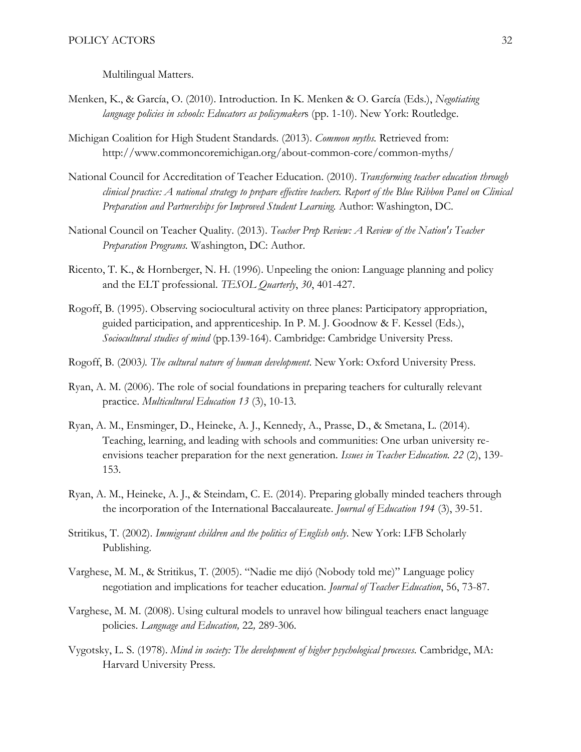#### Multilingual Matters.

- Menken, K., & García, O. (2010). Introduction. In K. Menken & O. García (Eds.), *Negotiating language policies in schools: Educators as policymaker*s (pp. 1-10). New York: Routledge.
- Michigan Coalition for High Student Standards. (2013). *Common myths.* Retrieved from: http://www.commoncoremichigan.org/about-common-core/common-myths/
- National Council for Accreditation of Teacher Education. (2010). *Transforming teacher education through clinical practice: A national strategy to prepare effective teachers. Report of the Blue Ribbon Panel on Clinical Preparation and Partnerships for Improved Student Learning.* Author: Washington, DC.
- National Council on Teacher Quality. (2013). *Teacher Prep Review: A Review of the Nation's Teacher Preparation Programs.* Washington, DC: Author.
- Ricento, T. K., & Hornberger, N. H. (1996). Unpeeling the onion: Language planning and policy and the ELT professional. *TESOL Quarterly*, *30*, 401-427.
- Rogoff, B. (1995). Observing sociocultural activity on three planes: Participatory appropriation, guided participation, and apprenticeship. In P. M. J. Goodnow & F. Kessel (Eds.), *Sociocultural studies of mind* (pp.139-164). Cambridge: Cambridge University Press.
- Rogoff, B. (2003*). The cultural nature of human development*. New York: Oxford University Press.
- Ryan, A. M. (2006). The role of social foundations in preparing teachers for culturally relevant practice. *Multicultural Education 13* (3), 10-13*.*
- Ryan, A. M., Ensminger, D., Heineke, A. J., Kennedy, A., Prasse, D., & Smetana, L. (2014). Teaching, learning, and leading with schools and communities: One urban university reenvisions teacher preparation for the next generation. *Issues in Teacher Education. 22* (2), 139- 153.
- Ryan, A. M., Heineke, A. J., & Steindam, C. E. (2014). Preparing globally minded teachers through the incorporation of the International Baccalaureate. *Journal of Education 194* (3), 39-51.
- Stritikus, T. (2002). *Immigrant children and the politics of English only*. New York: LFB Scholarly Publishing.
- Varghese, M. M., & Stritikus, T. (2005). "Nadie me dijó (Nobody told me)" Language policy negotiation and implications for teacher education. *Journal of Teacher Education*, 56, 73-87.
- Varghese, M. M. (2008). Using cultural models to unravel how bilingual teachers enact language policies. *Language and Education,* 22*,* 289-306*.*
- Vygotsky, L. S. (1978). *Mind in society: The development of higher psychological processes.* Cambridge, MA: Harvard University Press.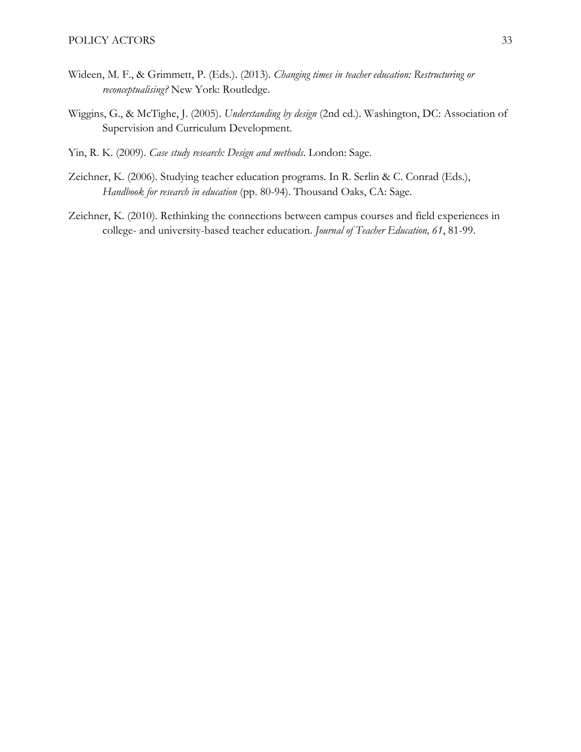- Wideen, M. F., & Grimmett, P. (Eds.). (2013). *Changing times in teacher education: Restructuring or reconceptualising?* New York: Routledge.
- Wiggins, G., & McTighe, J. (2005). *Understanding by design* (2nd ed.). Washington, DC: Association of Supervision and Curriculum Development.
- Yin, R. K. (2009). *Case study research: Design and methods*. London: Sage.
- Zeichner, K. (2006). Studying teacher education programs. In R. Serlin & C. Conrad (Eds.), *Handbook for research in education* (pp. 80-94). Thousand Oaks, CA: Sage.
- Zeichner, K. (2010). Rethinking the connections between campus courses and field experiences in college- and university-based teacher education. *Journal of Teacher Education, 61*, 81-99.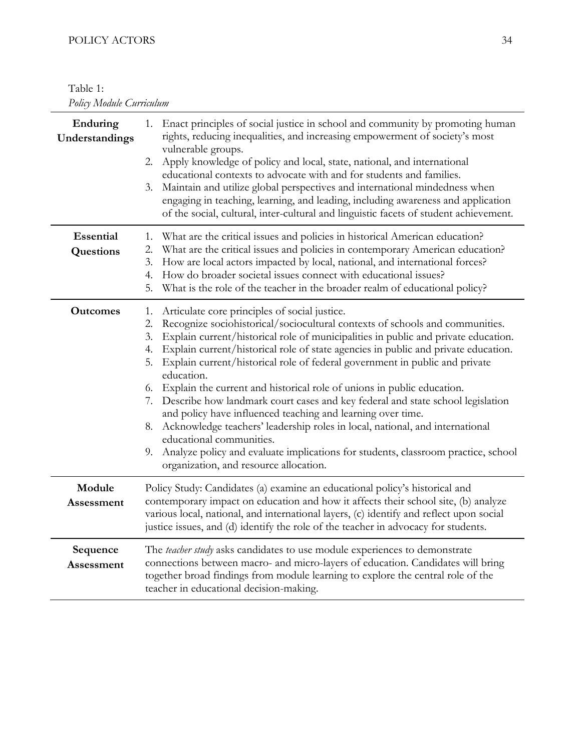Table 1: *Policy Module Curriculum* 

| Enduring<br>Understandings | 1. Enact principles of social justice in school and community by promoting human<br>rights, reducing inequalities, and increasing empowerment of society's most<br>vulnerable groups.<br>Apply knowledge of policy and local, state, national, and international<br>2.<br>educational contexts to advocate with and for students and families.<br>Maintain and utilize global perspectives and international mindedness when<br>3.<br>engaging in teaching, learning, and leading, including awareness and application<br>of the social, cultural, inter-cultural and linguistic facets of student achievement.                                                                                                                                                                                                                                                                                                        |
|----------------------------|------------------------------------------------------------------------------------------------------------------------------------------------------------------------------------------------------------------------------------------------------------------------------------------------------------------------------------------------------------------------------------------------------------------------------------------------------------------------------------------------------------------------------------------------------------------------------------------------------------------------------------------------------------------------------------------------------------------------------------------------------------------------------------------------------------------------------------------------------------------------------------------------------------------------|
| Essential<br>Questions     | 1. What are the critical issues and policies in historical American education?<br>What are the critical issues and policies in contemporary American education?<br>2.<br>3. How are local actors impacted by local, national, and international forces?<br>4. How do broader societal issues connect with educational issues?<br>5.<br>What is the role of the teacher in the broader realm of educational policy?                                                                                                                                                                                                                                                                                                                                                                                                                                                                                                     |
| <b>Outcomes</b>            | Articulate core principles of social justice.<br>1.<br>Recognize sociohistorical/sociocultural contexts of schools and communities.<br>2.<br>Explain current/historical role of municipalities in public and private education.<br>3.<br>Explain current/historical role of state agencies in public and private education.<br>4.<br>Explain current/historical role of federal government in public and private<br>5.<br>education.<br>6. Explain the current and historical role of unions in public education.<br>7. Describe how landmark court cases and key federal and state school legislation<br>and policy have influenced teaching and learning over time.<br>8. Acknowledge teachers' leadership roles in local, national, and international<br>educational communities.<br>9. Analyze policy and evaluate implications for students, classroom practice, school<br>organization, and resource allocation. |
| Module<br>Assessment       | Policy Study: Candidates (a) examine an educational policy's historical and<br>contemporary impact on education and how it affects their school site, (b) analyze<br>various local, national, and international layers, (c) identify and reflect upon social<br>justice issues, and (d) identify the role of the teacher in advocacy for students.                                                                                                                                                                                                                                                                                                                                                                                                                                                                                                                                                                     |
| Sequence<br>Assessment     | The teacher study asks candidates to use module experiences to demonstrate<br>connections between macro- and micro-layers of education. Candidates will bring<br>together broad findings from module learning to explore the central role of the<br>teacher in educational decision-making.                                                                                                                                                                                                                                                                                                                                                                                                                                                                                                                                                                                                                            |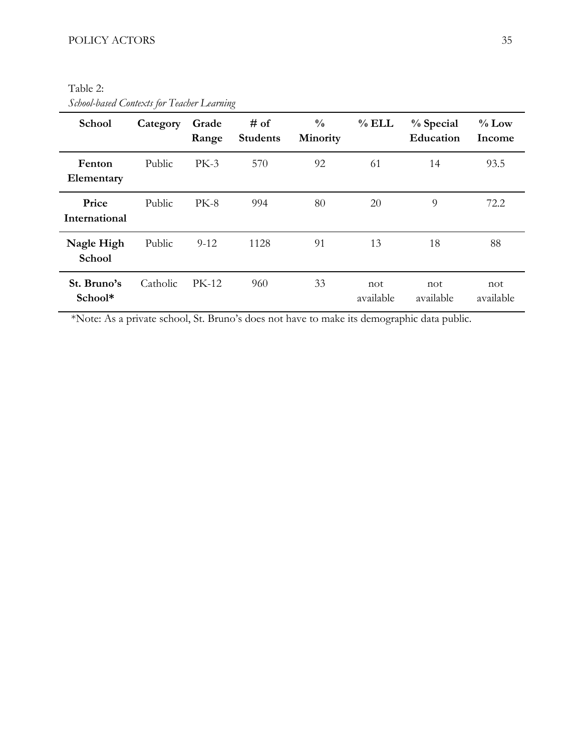Table 2:

*School-based Contexts for Teacher Learning*

| School                 | Category | Grade<br>Range | $#$ of<br><b>Students</b> | $\frac{0}{0}$<br>Minority | $%$ ELL          | % Special<br>Education | $%$ Low<br>Income |
|------------------------|----------|----------------|---------------------------|---------------------------|------------------|------------------------|-------------------|
| Fenton<br>Elementary   | Public   | $PK-3$         | 570                       | 92                        | 61               | 14                     | 93.5              |
| Price<br>International | Public   | $PK-8$         | 994                       | 80                        | 20               | 9                      | 72.2              |
| Nagle High<br>School   | Public   | $9-12$         | 1128                      | 91                        | 13               | 18                     | 88                |
| St. Bruno's<br>School* | Catholic | PK-12          | 960                       | 33                        | not<br>available | not<br>available       | not<br>available  |

\*Note: As a private school, St. Bruno's does not have to make its demographic data public.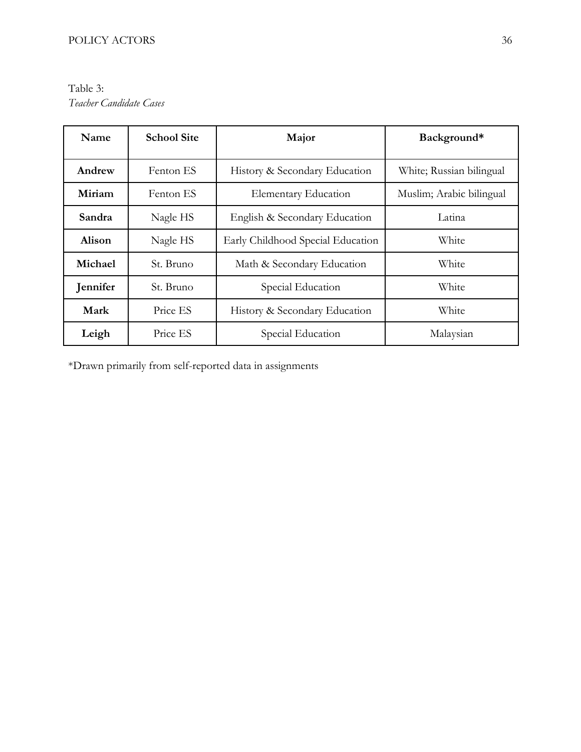# Table 3: *Teacher Candidate Cases*

| Name            | <b>School Site</b> | Major                             | Background*              |
|-----------------|--------------------|-----------------------------------|--------------------------|
| Andrew          | Fenton ES          | History & Secondary Education     | White; Russian bilingual |
| Miriam          | Fenton ES          | <b>Elementary Education</b>       | Muslim; Arabic bilingual |
| Sandra          | Nagle HS           | English & Secondary Education     | Latina                   |
| Alison          | Nagle HS           | Early Childhood Special Education | White                    |
| Michael         | St. Bruno          | Math & Secondary Education        | White                    |
| <b>Jennifer</b> | St. Bruno          | Special Education                 | White                    |
| Mark            | Price ES           | History & Secondary Education     | White                    |
| Leigh           | Price ES           | Special Education                 | Malaysian                |

\*Drawn primarily from self-reported data in assignments